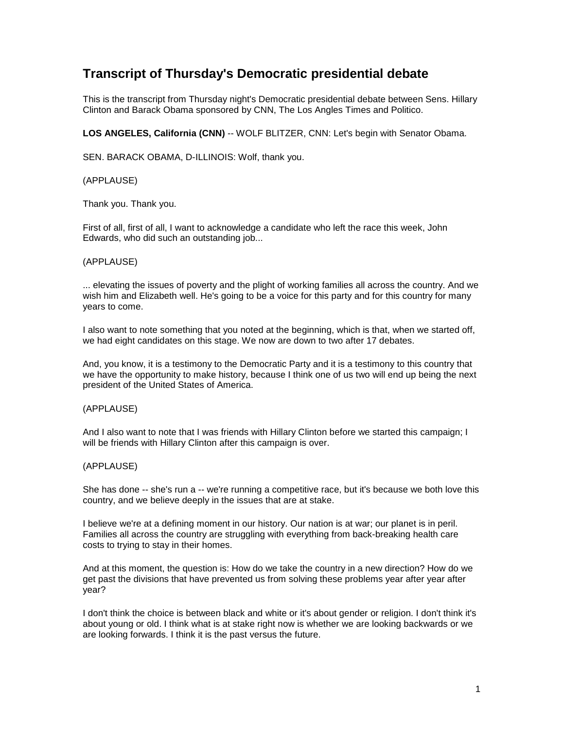# **Transcript of Thursday's Democratic presidential debate**

This is the transcript from Thursday night's Democratic presidential debate between Sens. Hillary Clinton and Barack Obama sponsored by CNN, The Los Angles Times and Politico.

**LOS ANGELES, California (CNN)** -- WOLF BLITZER, CNN: Let's begin with Senator Obama.

SEN. BARACK OBAMA, D-ILLINOIS: Wolf, thank you.

(APPLAUSE)

Thank you. Thank you.

First of all, first of all, I want to acknowledge a candidate who left the race this week, John Edwards, who did such an outstanding job...

# (APPLAUSE)

... elevating the issues of poverty and the plight of working families all across the country. And we wish him and Elizabeth well. He's going to be a voice for this party and for this country for many years to come.

I also want to note something that you noted at the beginning, which is that, when we started off, we had eight candidates on this stage. We now are down to two after 17 debates.

And, you know, it is a testimony to the Democratic Party and it is a testimony to this country that we have the opportunity to make history, because I think one of us two will end up being the next president of the United States of America.

(APPLAUSE)

And I also want to note that I was friends with Hillary Clinton before we started this campaign; I will be friends with Hillary Clinton after this campaign is over.

## (APPLAUSE)

She has done -- she's run a -- we're running a competitive race, but it's because we both love this country, and we believe deeply in the issues that are at stake.

I believe we're at a defining moment in our history. Our nation is at war; our planet is in peril. Families all across the country are struggling with everything from back-breaking health care costs to trying to stay in their homes.

And at this moment, the question is: How do we take the country in a new direction? How do we get past the divisions that have prevented us from solving these problems year after year after year?

I don't think the choice is between black and white or it's about gender or religion. I don't think it's about young or old. I think what is at stake right now is whether we are looking backwards or we are looking forwards. I think it is the past versus the future.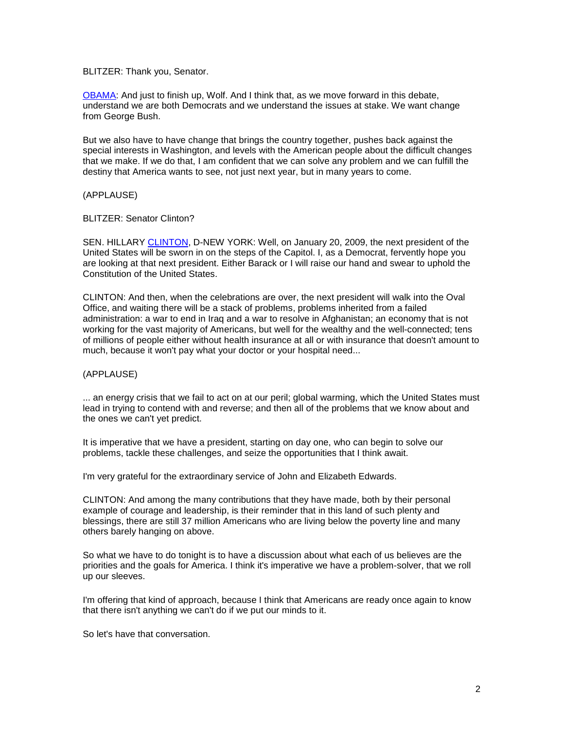BLITZER: Thank you, Senator.

OBAMA: And just to finish up, Wolf. And I think that, as we move forward in this debate, understand we are both Democrats and we understand the issues at stake. We want change from George Bush.

But we also have to have change that brings the country together, pushes back against the special interests in Washington, and levels with the American people about the difficult changes that we make. If we do that, I am confident that we can solve any problem and we can fulfill the destiny that America wants to see, not just next year, but in many years to come.

(APPLAUSE)

BLITZER: Senator Clinton?

SEN. HILLARY CLINTON, D-NEW YORK: Well, on January 20, 2009, the next president of the United States will be sworn in on the steps of the Capitol. I, as a Democrat, fervently hope you are looking at that next president. Either Barack or I will raise our hand and swear to uphold the Constitution of the United States.

CLINTON: And then, when the celebrations are over, the next president will walk into the Oval Office, and waiting there will be a stack of problems, problems inherited from a failed administration: a war to end in Iraq and a war to resolve in Afghanistan; an economy that is not working for the vast majority of Americans, but well for the wealthy and the well-connected; tens of millions of people either without health insurance at all or with insurance that doesn't amount to much, because it won't pay what your doctor or your hospital need...

(APPLAUSE)

... an energy crisis that we fail to act on at our peril; global warming, which the United States must lead in trying to contend with and reverse; and then all of the problems that we know about and the ones we can't yet predict.

It is imperative that we have a president, starting on day one, who can begin to solve our problems, tackle these challenges, and seize the opportunities that I think await.

I'm very grateful for the extraordinary service of John and Elizabeth Edwards.

CLINTON: And among the many contributions that they have made, both by their personal example of courage and leadership, is their reminder that in this land of such plenty and blessings, there are still 37 million Americans who are living below the poverty line and many others barely hanging on above.

So what we have to do tonight is to have a discussion about what each of us believes are the priorities and the goals for America. I think it's imperative we have a problem-solver, that we roll up our sleeves.

I'm offering that kind of approach, because I think that Americans are ready once again to know that there isn't anything we can't do if we put our minds to it.

So let's have that conversation.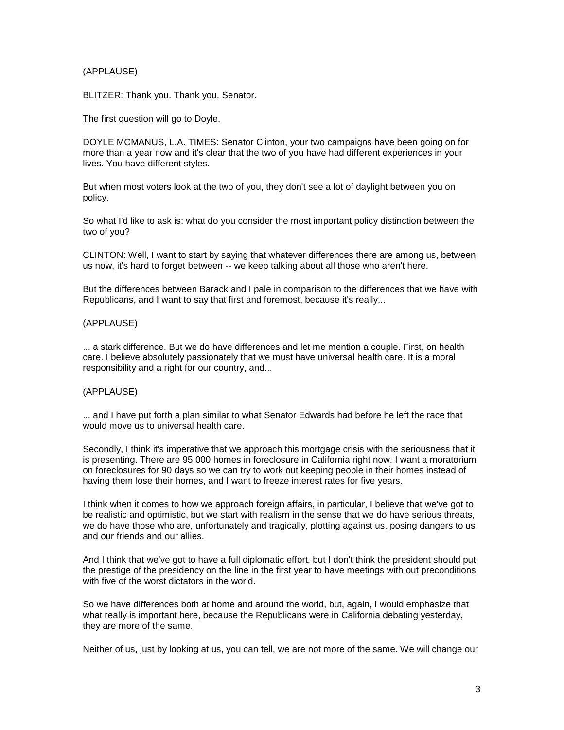(APPLAUSE)

BLITZER: Thank you. Thank you, Senator.

The first question will go to Doyle.

DOYLE MCMANUS, L.A. TIMES: Senator Clinton, your two campaigns have been going on for more than a year now and it's clear that the two of you have had different experiences in your lives. You have different styles.

But when most voters look at the two of you, they don't see a lot of daylight between you on policy.

So what I'd like to ask is: what do you consider the most important policy distinction between the two of you?

CLINTON: Well, I want to start by saying that whatever differences there are among us, between us now, it's hard to forget between -- we keep talking about all those who aren't here.

But the differences between Barack and I pale in comparison to the differences that we have with Republicans, and I want to say that first and foremost, because it's really...

#### (APPLAUSE)

... a stark difference. But we do have differences and let me mention a couple. First, on health care. I believe absolutely passionately that we must have universal health care. It is a moral responsibility and a right for our country, and...

#### (APPLAUSE)

... and I have put forth a plan similar to what Senator Edwards had before he left the race that would move us to universal health care.

Secondly, I think it's imperative that we approach this mortgage crisis with the seriousness that it is presenting. There are 95,000 homes in foreclosure in California right now. I want a moratorium on foreclosures for 90 days so we can try to work out keeping people in their homes instead of having them lose their homes, and I want to freeze interest rates for five years.

I think when it comes to how we approach foreign affairs, in particular, I believe that we've got to be realistic and optimistic, but we start with realism in the sense that we do have serious threats, we do have those who are, unfortunately and tragically, plotting against us, posing dangers to us and our friends and our allies.

And I think that we've got to have a full diplomatic effort, but I don't think the president should put the prestige of the presidency on the line in the first year to have meetings with out preconditions with five of the worst dictators in the world.

So we have differences both at home and around the world, but, again, I would emphasize that what really is important here, because the Republicans were in California debating yesterday, they are more of the same.

Neither of us, just by looking at us, you can tell, we are not more of the same. We will change our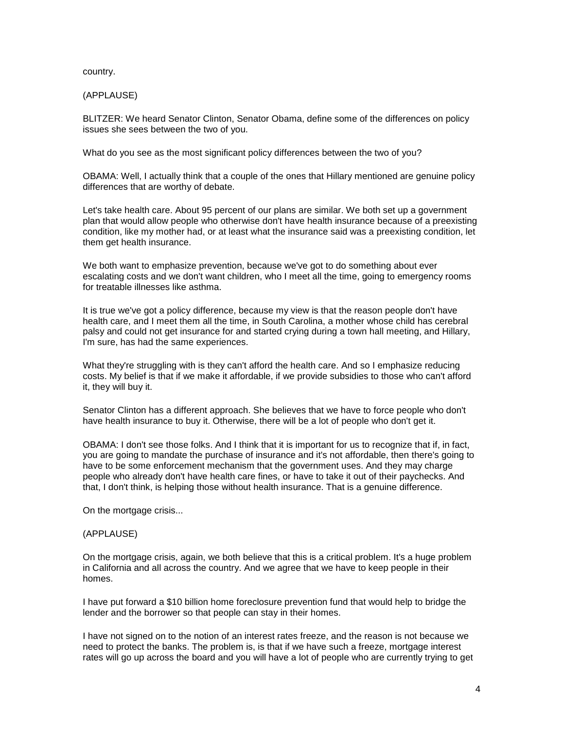country.

(APPLAUSE)

BLITZER: We heard Senator Clinton, Senator Obama, define some of the differences on policy issues she sees between the two of you.

What do you see as the most significant policy differences between the two of you?

OBAMA: Well, I actually think that a couple of the ones that Hillary mentioned are genuine policy differences that are worthy of debate.

Let's take health care. About 95 percent of our plans are similar. We both set up a government plan that would allow people who otherwise don't have health insurance because of a preexisting condition, like my mother had, or at least what the insurance said was a preexisting condition, let them get health insurance.

We both want to emphasize prevention, because we've got to do something about ever escalating costs and we don't want children, who I meet all the time, going to emergency rooms for treatable illnesses like asthma.

It is true we've got a policy difference, because my view is that the reason people don't have health care, and I meet them all the time, in South Carolina, a mother whose child has cerebral palsy and could not get insurance for and started crying during a town hall meeting, and Hillary, I'm sure, has had the same experiences.

What they're struggling with is they can't afford the health care. And so I emphasize reducing costs. My belief is that if we make it affordable, if we provide subsidies to those who can't afford it, they will buy it.

Senator Clinton has a different approach. She believes that we have to force people who don't have health insurance to buy it. Otherwise, there will be a lot of people who don't get it.

OBAMA: I don't see those folks. And I think that it is important for us to recognize that if, in fact, you are going to mandate the purchase of insurance and it's not affordable, then there's going to have to be some enforcement mechanism that the government uses. And they may charge people who already don't have health care fines, or have to take it out of their paychecks. And that, I don't think, is helping those without health insurance. That is a genuine difference.

On the mortgage crisis...

## (APPLAUSE)

On the mortgage crisis, again, we both believe that this is a critical problem. It's a huge problem in California and all across the country. And we agree that we have to keep people in their homes.

I have put forward a \$10 billion home foreclosure prevention fund that would help to bridge the lender and the borrower so that people can stay in their homes.

I have not signed on to the notion of an interest rates freeze, and the reason is not because we need to protect the banks. The problem is, is that if we have such a freeze, mortgage interest rates will go up across the board and you will have a lot of people who are currently trying to get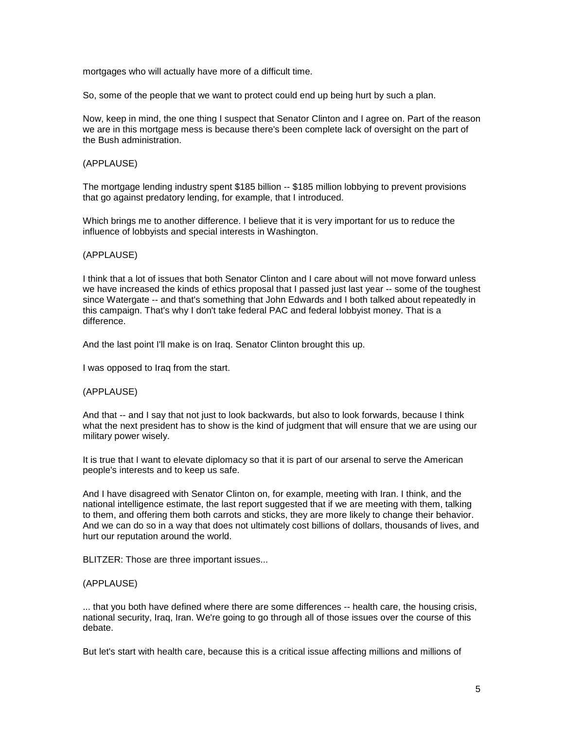mortgages who will actually have more of a difficult time.

So, some of the people that we want to protect could end up being hurt by such a plan.

Now, keep in mind, the one thing I suspect that Senator Clinton and I agree on. Part of the reason we are in this mortgage mess is because there's been complete lack of oversight on the part of the Bush administration.

# (APPLAUSE)

The mortgage lending industry spent \$185 billion -- \$185 million lobbying to prevent provisions that go against predatory lending, for example, that I introduced.

Which brings me to another difference. I believe that it is very important for us to reduce the influence of lobbyists and special interests in Washington.

## (APPLAUSE)

I think that a lot of issues that both Senator Clinton and I care about will not move forward unless we have increased the kinds of ethics proposal that I passed just last year -- some of the toughest since Watergate -- and that's something that John Edwards and I both talked about repeatedly in this campaign. That's why I don't take federal PAC and federal lobbyist money. That is a difference.

And the last point I'll make is on Iraq. Senator Clinton brought this up.

I was opposed to Iraq from the start.

## (APPLAUSE)

And that -- and I say that not just to look backwards, but also to look forwards, because I think what the next president has to show is the kind of judgment that will ensure that we are using our military power wisely.

It is true that I want to elevate diplomacy so that it is part of our arsenal to serve the American people's interests and to keep us safe.

And I have disagreed with Senator Clinton on, for example, meeting with Iran. I think, and the national intelligence estimate, the last report suggested that if we are meeting with them, talking to them, and offering them both carrots and sticks, they are more likely to change their behavior. And we can do so in a way that does not ultimately cost billions of dollars, thousands of lives, and hurt our reputation around the world.

BLITZER: Those are three important issues...

## (APPLAUSE)

... that you both have defined where there are some differences -- health care, the housing crisis, national security, Iraq, Iran. We're going to go through all of those issues over the course of this debate.

But let's start with health care, because this is a critical issue affecting millions and millions of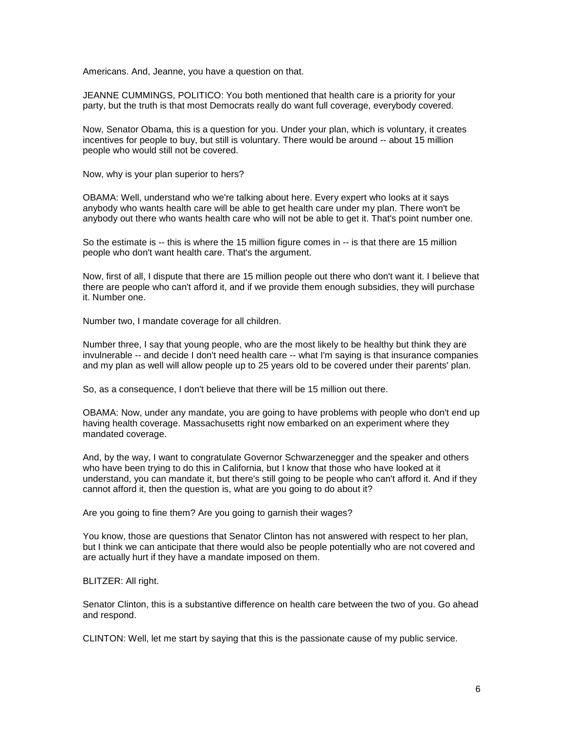Americans. And, Jeanne, you have a question on that.

JEANNE CUMMINGS, POLITICO: You both mentioned that health care is a priority for your party, but the truth is that most Democrats really do want full coverage, everybody covered.

Now, Senator Obama, this is a question for you. Under your plan, which is voluntary, it creates incentives for people to buy, but still is voluntary. There would be around -- about 15 million people who would still not be covered.

Now, why is your plan superior to hers?

OBAMA: Well, understand who we're talking about here. Every expert who looks at it says anybody who wants health care will be able to get health care under my plan. There won't be anybody out there who wants health care who will not be able to get it. That's point number one.

So the estimate is -- this is where the 15 million figure comes in -- is that there are 15 million people who don't want health care. That's the argument.

Now, first of all, I dispute that there are 15 million people out there who don't want it. I believe that there are people who can't afford it, and if we provide them enough subsidies, they will purchase it. Number one.

Number two, I mandate coverage for all children.

Number three, I say that young people, who are the most likely to be healthy but think they are invulnerable -- and decide I don't need health care -- what I'm saying is that insurance companies and my plan as well will allow people up to 25 years old to be covered under their parents' plan.

So, as a consequence, I don't believe that there will be 15 million out there.

OBAMA: Now, under any mandate, you are going to have problems with people who don't end up having health coverage. Massachusetts right now embarked on an experiment where they mandated coverage.

And, by the way, I want to congratulate Governor Schwarzenegger and the speaker and others who have been trying to do this in California, but I know that those who have looked at it understand, you can mandate it, but there's still going to be people who can't afford it. And if they cannot afford it, then the question is, what are you going to do about it?

Are you going to fine them? Are you going to garnish their wages?

You know, those are questions that Senator Clinton has not answered with respect to her plan, but I think we can anticipate that there would also be people potentially who are not covered and are actually hurt if they have a mandate imposed on them.

## BLITZER: All right.

Senator Clinton, this is a substantive difference on health care between the two of you. Go ahead and respond.

CLINTON: Well, let me start by saying that this is the passionate cause of my public service.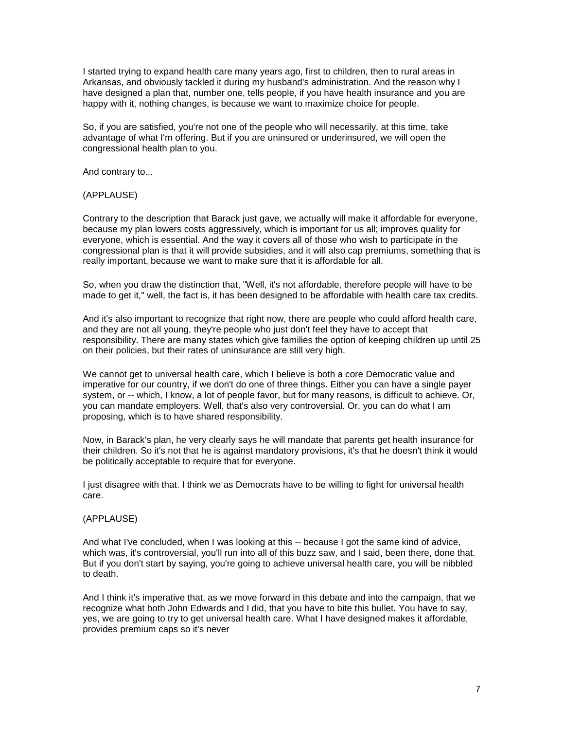I started trying to expand health care many years ago, first to children, then to rural areas in Arkansas, and obviously tackled it during my husband's administration. And the reason why I have designed a plan that, number one, tells people, if you have health insurance and you are happy with it, nothing changes, is because we want to maximize choice for people.

So, if you are satisfied, you're not one of the people who will necessarily, at this time, take advantage of what I'm offering. But if you are uninsured or underinsured, we will open the congressional health plan to you.

And contrary to...

(APPLAUSE)

Contrary to the description that Barack just gave, we actually will make it affordable for everyone, because my plan lowers costs aggressively, which is important for us all; improves quality for everyone, which is essential. And the way it covers all of those who wish to participate in the congressional plan is that it will provide subsidies, and it will also cap premiums, something that is really important, because we want to make sure that it is affordable for all.

So, when you draw the distinction that, "Well, it's not affordable, therefore people will have to be made to get it," well, the fact is, it has been designed to be affordable with health care tax credits.

And it's also important to recognize that right now, there are people who could afford health care, and they are not all young, they're people who just don't feel they have to accept that responsibility. There are many states which give families the option of keeping children up until 25 on their policies, but their rates of uninsurance are still very high.

We cannot get to universal health care, which I believe is both a core Democratic value and imperative for our country, if we don't do one of three things. Either you can have a single payer system, or -- which, I know, a lot of people favor, but for many reasons, is difficult to achieve. Or, you can mandate employers. Well, that's also very controversial. Or, you can do what I am proposing, which is to have shared responsibility.

Now, in Barack's plan, he very clearly says he will mandate that parents get health insurance for their children. So it's not that he is against mandatory provisions, it's that he doesn't think it would be politically acceptable to require that for everyone.

I just disagree with that. I think we as Democrats have to be willing to fight for universal health care.

## (APPLAUSE)

And what I've concluded, when I was looking at this -- because I got the same kind of advice, which was, it's controversial, you'll run into all of this buzz saw, and I said, been there, done that. But if you don't start by saying, you're going to achieve universal health care, you will be nibbled to death.

And I think it's imperative that, as we move forward in this debate and into the campaign, that we recognize what both John Edwards and I did, that you have to bite this bullet. You have to say, yes, we are going to try to get universal health care. What I have designed makes it affordable, provides premium caps so it's never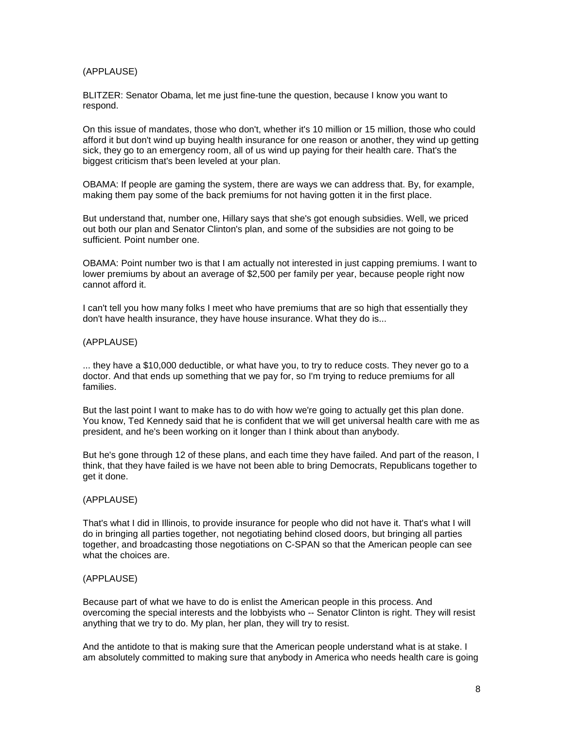## (APPLAUSE)

BLITZER: Senator Obama, let me just fine-tune the question, because I know you want to respond.

On this issue of mandates, those who don't, whether it's 10 million or 15 million, those who could afford it but don't wind up buying health insurance for one reason or another, they wind up getting sick, they go to an emergency room, all of us wind up paying for their health care. That's the biggest criticism that's been leveled at your plan.

OBAMA: If people are gaming the system, there are ways we can address that. By, for example, making them pay some of the back premiums for not having gotten it in the first place.

But understand that, number one, Hillary says that she's got enough subsidies. Well, we priced out both our plan and Senator Clinton's plan, and some of the subsidies are not going to be sufficient. Point number one.

OBAMA: Point number two is that I am actually not interested in just capping premiums. I want to lower premiums by about an average of \$2,500 per family per year, because people right now cannot afford it.

I can't tell you how many folks I meet who have premiums that are so high that essentially they don't have health insurance, they have house insurance. What they do is...

#### (APPLAUSE)

... they have a \$10,000 deductible, or what have you, to try to reduce costs. They never go to a doctor. And that ends up something that we pay for, so I'm trying to reduce premiums for all families.

But the last point I want to make has to do with how we're going to actually get this plan done. You know, Ted Kennedy said that he is confident that we will get universal health care with me as president, and he's been working on it longer than I think about than anybody.

But he's gone through 12 of these plans, and each time they have failed. And part of the reason, I think, that they have failed is we have not been able to bring Democrats, Republicans together to get it done.

#### (APPLAUSE)

That's what I did in Illinois, to provide insurance for people who did not have it. That's what I will do in bringing all parties together, not negotiating behind closed doors, but bringing all parties together, and broadcasting those negotiations on C-SPAN so that the American people can see what the choices are.

## (APPLAUSE)

Because part of what we have to do is enlist the American people in this process. And overcoming the special interests and the lobbyists who -- Senator Clinton is right. They will resist anything that we try to do. My plan, her plan, they will try to resist.

And the antidote to that is making sure that the American people understand what is at stake. I am absolutely committed to making sure that anybody in America who needs health care is going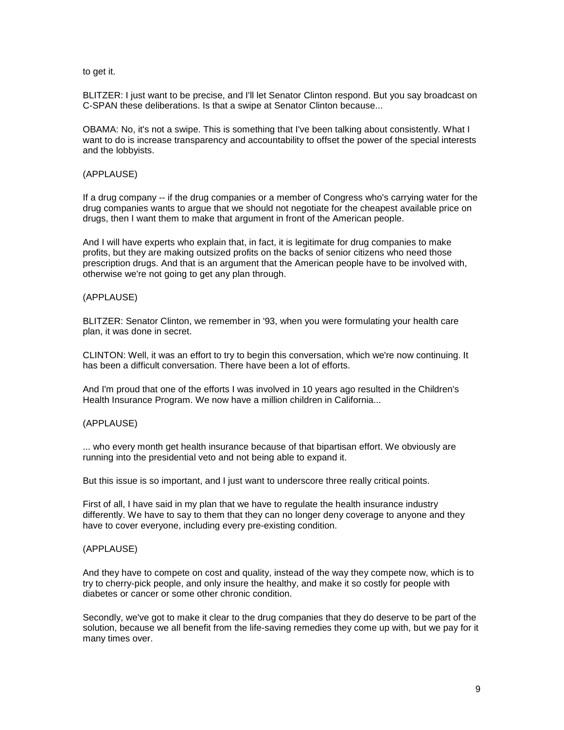to get it.

BLITZER: I just want to be precise, and I'll let Senator Clinton respond. But you say broadcast on C-SPAN these deliberations. Is that a swipe at Senator Clinton because...

OBAMA: No, it's not a swipe. This is something that I've been talking about consistently. What I want to do is increase transparency and accountability to offset the power of the special interests and the lobbyists.

#### (APPLAUSE)

If a drug company -- if the drug companies or a member of Congress who's carrying water for the drug companies wants to argue that we should not negotiate for the cheapest available price on drugs, then I want them to make that argument in front of the American people.

And I will have experts who explain that, in fact, it is legitimate for drug companies to make profits, but they are making outsized profits on the backs of senior citizens who need those prescription drugs. And that is an argument that the American people have to be involved with, otherwise we're not going to get any plan through.

#### (APPLAUSE)

BLITZER: Senator Clinton, we remember in '93, when you were formulating your health care plan, it was done in secret.

CLINTON: Well, it was an effort to try to begin this conversation, which we're now continuing. It has been a difficult conversation. There have been a lot of efforts.

And I'm proud that one of the efforts I was involved in 10 years ago resulted in the Children's Health Insurance Program. We now have a million children in California...

## (APPLAUSE)

... who every month get health insurance because of that bipartisan effort. We obviously are running into the presidential veto and not being able to expand it.

But this issue is so important, and I just want to underscore three really critical points.

First of all, I have said in my plan that we have to regulate the health insurance industry differently. We have to say to them that they can no longer deny coverage to anyone and they have to cover everyone, including every pre-existing condition.

#### (APPLAUSE)

And they have to compete on cost and quality, instead of the way they compete now, which is to try to cherry-pick people, and only insure the healthy, and make it so costly for people with diabetes or cancer or some other chronic condition.

Secondly, we've got to make it clear to the drug companies that they do deserve to be part of the solution, because we all benefit from the life-saving remedies they come up with, but we pay for it many times over.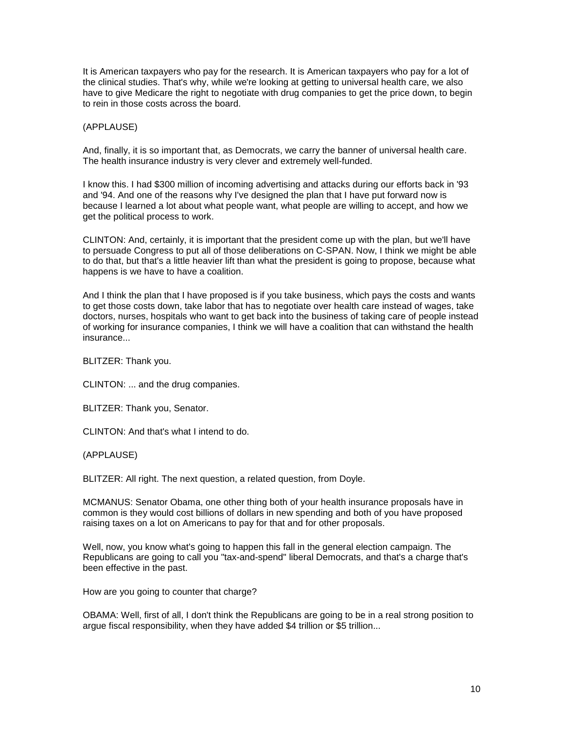It is American taxpayers who pay for the research. It is American taxpayers who pay for a lot of the clinical studies. That's why, while we're looking at getting to universal health care, we also have to give Medicare the right to negotiate with drug companies to get the price down, to begin to rein in those costs across the board.

(APPLAUSE)

And, finally, it is so important that, as Democrats, we carry the banner of universal health care. The health insurance industry is very clever and extremely well-funded.

I know this. I had \$300 million of incoming advertising and attacks during our efforts back in '93 and '94. And one of the reasons why I've designed the plan that I have put forward now is because I learned a lot about what people want, what people are willing to accept, and how we get the political process to work.

CLINTON: And, certainly, it is important that the president come up with the plan, but we'll have to persuade Congress to put all of those deliberations on C-SPAN. Now, I think we might be able to do that, but that's a little heavier lift than what the president is going to propose, because what happens is we have to have a coalition.

And I think the plan that I have proposed is if you take business, which pays the costs and wants to get those costs down, take labor that has to negotiate over health care instead of wages, take doctors, nurses, hospitals who want to get back into the business of taking care of people instead of working for insurance companies, I think we will have a coalition that can withstand the health insurance...

BLITZER: Thank you.

CLINTON: ... and the drug companies.

BLITZER: Thank you, Senator.

CLINTON: And that's what I intend to do.

(APPLAUSE)

BLITZER: All right. The next question, a related question, from Doyle.

MCMANUS: Senator Obama, one other thing both of your health insurance proposals have in common is they would cost billions of dollars in new spending and both of you have proposed raising taxes on a lot on Americans to pay for that and for other proposals.

Well, now, you know what's going to happen this fall in the general election campaign. The Republicans are going to call you "tax-and-spend" liberal Democrats, and that's a charge that's been effective in the past.

How are you going to counter that charge?

OBAMA: Well, first of all, I don't think the Republicans are going to be in a real strong position to argue fiscal responsibility, when they have added \$4 trillion or \$5 trillion...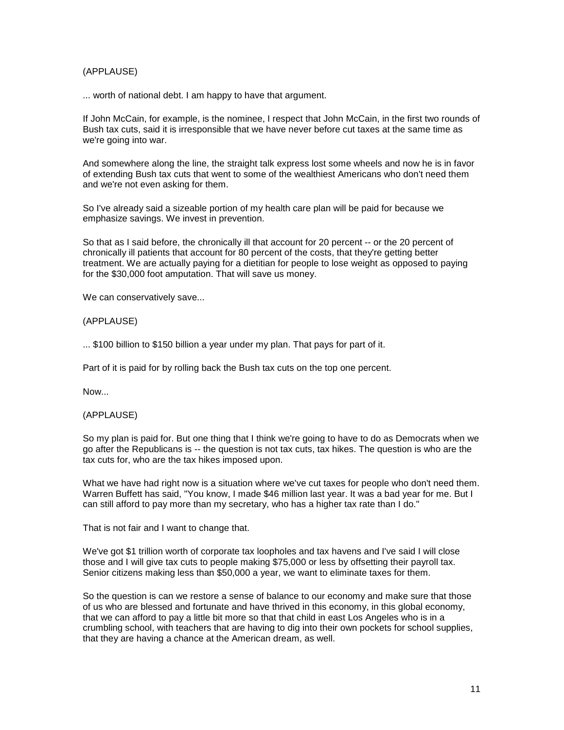# (APPLAUSE)

... worth of national debt. I am happy to have that argument.

If John McCain, for example, is the nominee, I respect that John McCain, in the first two rounds of Bush tax cuts, said it is irresponsible that we have never before cut taxes at the same time as we're going into war.

And somewhere along the line, the straight talk express lost some wheels and now he is in favor of extending Bush tax cuts that went to some of the wealthiest Americans who don't need them and we're not even asking for them.

So I've already said a sizeable portion of my health care plan will be paid for because we emphasize savings. We invest in prevention.

So that as I said before, the chronically ill that account for 20 percent -- or the 20 percent of chronically ill patients that account for 80 percent of the costs, that they're getting better treatment. We are actually paying for a dietitian for people to lose weight as opposed to paying for the \$30,000 foot amputation. That will save us money.

We can conservatively save...

(APPLAUSE)

... \$100 billion to \$150 billion a year under my plan. That pays for part of it.

Part of it is paid for by rolling back the Bush tax cuts on the top one percent.

Now...

(APPLAUSE)

So my plan is paid for. But one thing that I think we're going to have to do as Democrats when we go after the Republicans is -- the question is not tax cuts, tax hikes. The question is who are the tax cuts for, who are the tax hikes imposed upon.

What we have had right now is a situation where we've cut taxes for people who don't need them. Warren Buffett has said, "You know, I made \$46 million last year. It was a bad year for me. But I can still afford to pay more than my secretary, who has a higher tax rate than I do."

That is not fair and I want to change that.

We've got \$1 trillion worth of corporate tax loopholes and tax havens and I've said I will close those and I will give tax cuts to people making \$75,000 or less by offsetting their payroll tax. Senior citizens making less than \$50,000 a year, we want to eliminate taxes for them.

So the question is can we restore a sense of balance to our economy and make sure that those of us who are blessed and fortunate and have thrived in this economy, in this global economy, that we can afford to pay a little bit more so that that child in east Los Angeles who is in a crumbling school, with teachers that are having to dig into their own pockets for school supplies, that they are having a chance at the American dream, as well.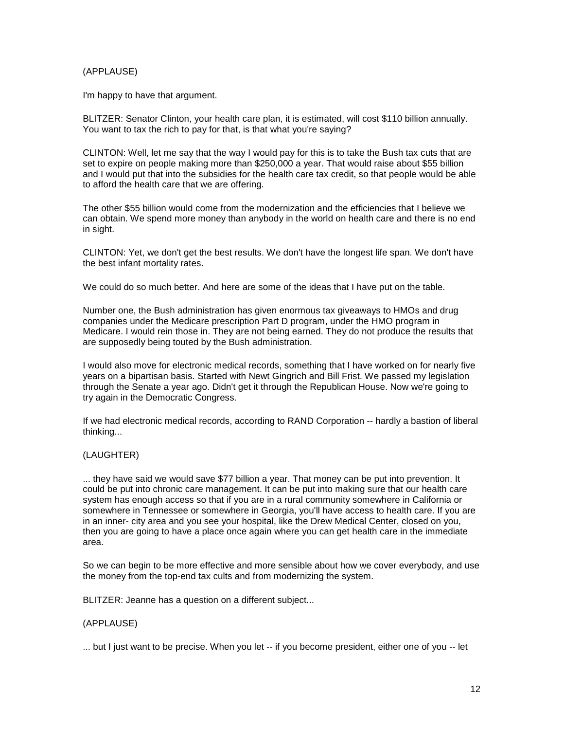# (APPLAUSE)

I'm happy to have that argument.

BLITZER: Senator Clinton, your health care plan, it is estimated, will cost \$110 billion annually. You want to tax the rich to pay for that, is that what you're saying?

CLINTON: Well, let me say that the way I would pay for this is to take the Bush tax cuts that are set to expire on people making more than \$250,000 a year. That would raise about \$55 billion and I would put that into the subsidies for the health care tax credit, so that people would be able to afford the health care that we are offering.

The other \$55 billion would come from the modernization and the efficiencies that I believe we can obtain. We spend more money than anybody in the world on health care and there is no end in sight.

CLINTON: Yet, we don't get the best results. We don't have the longest life span. We don't have the best infant mortality rates.

We could do so much better. And here are some of the ideas that I have put on the table.

Number one, the Bush administration has given enormous tax giveaways to HMOs and drug companies under the Medicare prescription Part D program, under the HMO program in Medicare. I would rein those in. They are not being earned. They do not produce the results that are supposedly being touted by the Bush administration.

I would also move for electronic medical records, something that I have worked on for nearly five years on a bipartisan basis. Started with Newt Gingrich and Bill Frist. We passed my legislation through the Senate a year ago. Didn't get it through the Republican House. Now we're going to try again in the Democratic Congress.

If we had electronic medical records, according to RAND Corporation -- hardly a bastion of liberal thinking...

## (LAUGHTER)

... they have said we would save \$77 billion a year. That money can be put into prevention. It could be put into chronic care management. It can be put into making sure that our health care system has enough access so that if you are in a rural community somewhere in California or somewhere in Tennessee or somewhere in Georgia, you'll have access to health care. If you are in an inner- city area and you see your hospital, like the Drew Medical Center, closed on you, then you are going to have a place once again where you can get health care in the immediate area.

So we can begin to be more effective and more sensible about how we cover everybody, and use the money from the top-end tax cults and from modernizing the system.

BLITZER: Jeanne has a question on a different subject...

## (APPLAUSE)

... but I just want to be precise. When you let -- if you become president, either one of you -- let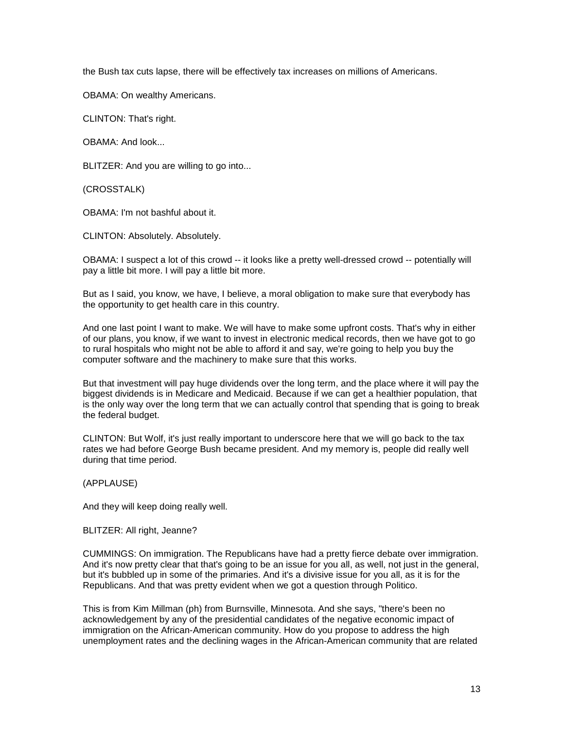the Bush tax cuts lapse, there will be effectively tax increases on millions of Americans.

OBAMA: On wealthy Americans.

CLINTON: That's right.

OBAMA: And look...

BLITZER: And you are willing to go into...

(CROSSTALK)

OBAMA: I'm not bashful about it.

CLINTON: Absolutely. Absolutely.

OBAMA: I suspect a lot of this crowd -- it looks like a pretty well-dressed crowd -- potentially will pay a little bit more. I will pay a little bit more.

But as I said, you know, we have, I believe, a moral obligation to make sure that everybody has the opportunity to get health care in this country.

And one last point I want to make. We will have to make some upfront costs. That's why in either of our plans, you know, if we want to invest in electronic medical records, then we have got to go to rural hospitals who might not be able to afford it and say, we're going to help you buy the computer software and the machinery to make sure that this works.

But that investment will pay huge dividends over the long term, and the place where it will pay the biggest dividends is in Medicare and Medicaid. Because if we can get a healthier population, that is the only way over the long term that we can actually control that spending that is going to break the federal budget.

CLINTON: But Wolf, it's just really important to underscore here that we will go back to the tax rates we had before George Bush became president. And my memory is, people did really well during that time period.

(APPLAUSE)

And they will keep doing really well.

BLITZER: All right, Jeanne?

CUMMINGS: On immigration. The Republicans have had a pretty fierce debate over immigration. And it's now pretty clear that that's going to be an issue for you all, as well, not just in the general, but it's bubbled up in some of the primaries. And it's a divisive issue for you all, as it is for the Republicans. And that was pretty evident when we got a question through Politico.

This is from Kim Millman (ph) from Burnsville, Minnesota. And she says, "there's been no acknowledgement by any of the presidential candidates of the negative economic impact of immigration on the African-American community. How do you propose to address the high unemployment rates and the declining wages in the African-American community that are related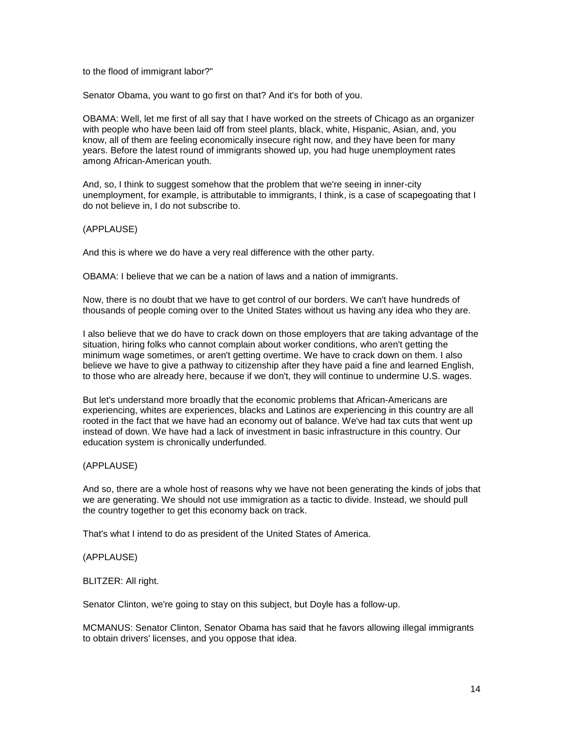to the flood of immigrant labor?"

Senator Obama, you want to go first on that? And it's for both of you.

OBAMA: Well, let me first of all say that I have worked on the streets of Chicago as an organizer with people who have been laid off from steel plants, black, white, Hispanic, Asian, and, you know, all of them are feeling economically insecure right now, and they have been for many years. Before the latest round of immigrants showed up, you had huge unemployment rates among African-American youth.

And, so, I think to suggest somehow that the problem that we're seeing in inner-city unemployment, for example, is attributable to immigrants, I think, is a case of scapegoating that I do not believe in, I do not subscribe to.

(APPLAUSE)

And this is where we do have a very real difference with the other party.

OBAMA: I believe that we can be a nation of laws and a nation of immigrants.

Now, there is no doubt that we have to get control of our borders. We can't have hundreds of thousands of people coming over to the United States without us having any idea who they are.

I also believe that we do have to crack down on those employers that are taking advantage of the situation, hiring folks who cannot complain about worker conditions, who aren't getting the minimum wage sometimes, or aren't getting overtime. We have to crack down on them. I also believe we have to give a pathway to citizenship after they have paid a fine and learned English, to those who are already here, because if we don't, they will continue to undermine U.S. wages.

But let's understand more broadly that the economic problems that African-Americans are experiencing, whites are experiences, blacks and Latinos are experiencing in this country are all rooted in the fact that we have had an economy out of balance. We've had tax cuts that went up instead of down. We have had a lack of investment in basic infrastructure in this country. Our education system is chronically underfunded.

# (APPLAUSE)

And so, there are a whole host of reasons why we have not been generating the kinds of jobs that we are generating. We should not use immigration as a tactic to divide. Instead, we should pull the country together to get this economy back on track.

That's what I intend to do as president of the United States of America.

# (APPLAUSE)

BLITZER: All right.

Senator Clinton, we're going to stay on this subject, but Doyle has a follow-up.

MCMANUS: Senator Clinton, Senator Obama has said that he favors allowing illegal immigrants to obtain drivers' licenses, and you oppose that idea.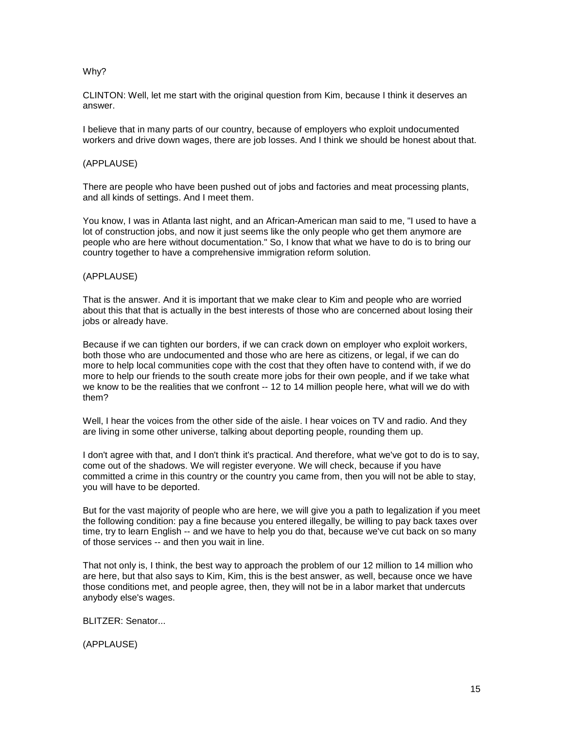## Why?

CLINTON: Well, let me start with the original question from Kim, because I think it deserves an answer.

I believe that in many parts of our country, because of employers who exploit undocumented workers and drive down wages, there are job losses. And I think we should be honest about that.

## (APPLAUSE)

There are people who have been pushed out of jobs and factories and meat processing plants, and all kinds of settings. And I meet them.

You know, I was in Atlanta last night, and an African-American man said to me, "I used to have a lot of construction jobs, and now it just seems like the only people who get them anymore are people who are here without documentation." So, I know that what we have to do is to bring our country together to have a comprehensive immigration reform solution.

# (APPLAUSE)

That is the answer. And it is important that we make clear to Kim and people who are worried about this that that is actually in the best interests of those who are concerned about losing their iobs or already have.

Because if we can tighten our borders, if we can crack down on employer who exploit workers, both those who are undocumented and those who are here as citizens, or legal, if we can do more to help local communities cope with the cost that they often have to contend with, if we do more to help our friends to the south create more jobs for their own people, and if we take what we know to be the realities that we confront -- 12 to 14 million people here, what will we do with them?

Well, I hear the voices from the other side of the aisle. I hear voices on TV and radio. And they are living in some other universe, talking about deporting people, rounding them up.

I don't agree with that, and I don't think it's practical. And therefore, what we've got to do is to say, come out of the shadows. We will register everyone. We will check, because if you have committed a crime in this country or the country you came from, then you will not be able to stay, you will have to be deported.

But for the vast majority of people who are here, we will give you a path to legalization if you meet the following condition: pay a fine because you entered illegally, be willing to pay back taxes over time, try to learn English -- and we have to help you do that, because we've cut back on so many of those services -- and then you wait in line.

That not only is, I think, the best way to approach the problem of our 12 million to 14 million who are here, but that also says to Kim, Kim, this is the best answer, as well, because once we have those conditions met, and people agree, then, they will not be in a labor market that undercuts anybody else's wages.

BLITZER: Senator...

(APPLAUSE)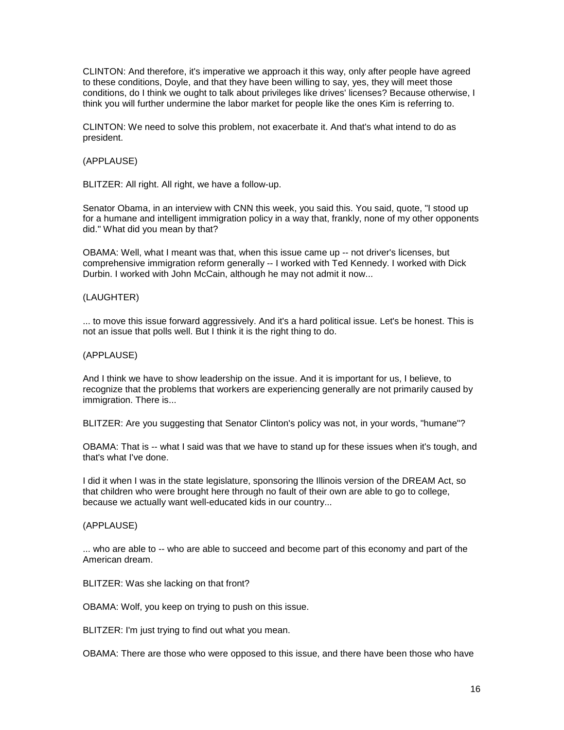CLINTON: And therefore, it's imperative we approach it this way, only after people have agreed to these conditions, Doyle, and that they have been willing to say, yes, they will meet those conditions, do I think we ought to talk about privileges like drives' licenses? Because otherwise, I think you will further undermine the labor market for people like the ones Kim is referring to.

CLINTON: We need to solve this problem, not exacerbate it. And that's what intend to do as president.

(APPLAUSE)

BLITZER: All right. All right, we have a follow-up.

Senator Obama, in an interview with CNN this week, you said this. You said, quote, "I stood up for a humane and intelligent immigration policy in a way that, frankly, none of my other opponents did." What did you mean by that?

OBAMA: Well, what I meant was that, when this issue came up -- not driver's licenses, but comprehensive immigration reform generally -- I worked with Ted Kennedy. I worked with Dick Durbin. I worked with John McCain, although he may not admit it now...

## (LAUGHTER)

... to move this issue forward aggressively. And it's a hard political issue. Let's be honest. This is not an issue that polls well. But I think it is the right thing to do.

(APPLAUSE)

And I think we have to show leadership on the issue. And it is important for us, I believe, to recognize that the problems that workers are experiencing generally are not primarily caused by immigration. There is...

BLITZER: Are you suggesting that Senator Clinton's policy was not, in your words, "humane"?

OBAMA: That is -- what I said was that we have to stand up for these issues when it's tough, and that's what I've done.

I did it when I was in the state legislature, sponsoring the Illinois version of the DREAM Act, so that children who were brought here through no fault of their own are able to go to college, because we actually want well-educated kids in our country...

(APPLAUSE)

... who are able to -- who are able to succeed and become part of this economy and part of the American dream.

BLITZER: Was she lacking on that front?

OBAMA: Wolf, you keep on trying to push on this issue.

BLITZER: I'm just trying to find out what you mean.

OBAMA: There are those who were opposed to this issue, and there have been those who have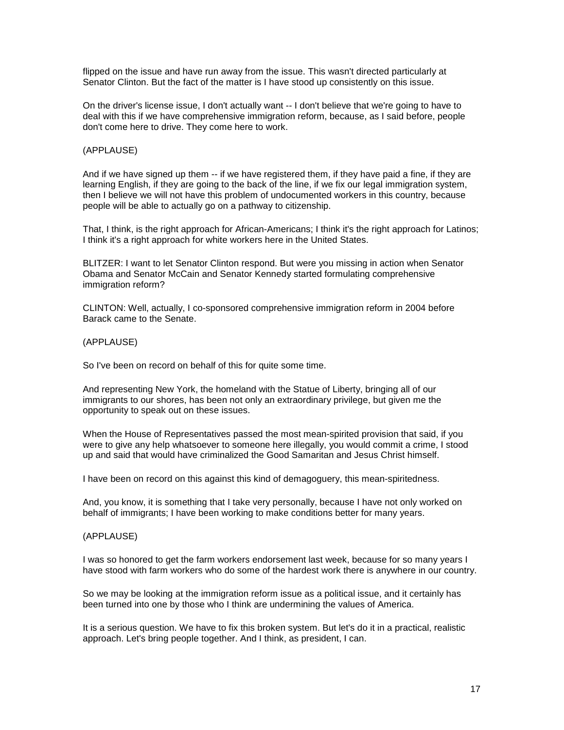flipped on the issue and have run away from the issue. This wasn't directed particularly at Senator Clinton. But the fact of the matter is I have stood up consistently on this issue.

On the driver's license issue, I don't actually want -- I don't believe that we're going to have to deal with this if we have comprehensive immigration reform, because, as I said before, people don't come here to drive. They come here to work.

## (APPLAUSE)

And if we have signed up them -- if we have registered them, if they have paid a fine, if they are learning English, if they are going to the back of the line, if we fix our legal immigration system, then I believe we will not have this problem of undocumented workers in this country, because people will be able to actually go on a pathway to citizenship.

That, I think, is the right approach for African-Americans; I think it's the right approach for Latinos; I think it's a right approach for white workers here in the United States.

BLITZER: I want to let Senator Clinton respond. But were you missing in action when Senator Obama and Senator McCain and Senator Kennedy started formulating comprehensive immigration reform?

CLINTON: Well, actually, I co-sponsored comprehensive immigration reform in 2004 before Barack came to the Senate.

(APPLAUSE)

So I've been on record on behalf of this for quite some time.

And representing New York, the homeland with the Statue of Liberty, bringing all of our immigrants to our shores, has been not only an extraordinary privilege, but given me the opportunity to speak out on these issues.

When the House of Representatives passed the most mean-spirited provision that said, if you were to give any help whatsoever to someone here illegally, you would commit a crime, I stood up and said that would have criminalized the Good Samaritan and Jesus Christ himself.

I have been on record on this against this kind of demagoguery, this mean-spiritedness.

And, you know, it is something that I take very personally, because I have not only worked on behalf of immigrants; I have been working to make conditions better for many years.

## (APPLAUSE)

I was so honored to get the farm workers endorsement last week, because for so many years I have stood with farm workers who do some of the hardest work there is anywhere in our country.

So we may be looking at the immigration reform issue as a political issue, and it certainly has been turned into one by those who I think are undermining the values of America.

It is a serious question. We have to fix this broken system. But let's do it in a practical, realistic approach. Let's bring people together. And I think, as president, I can.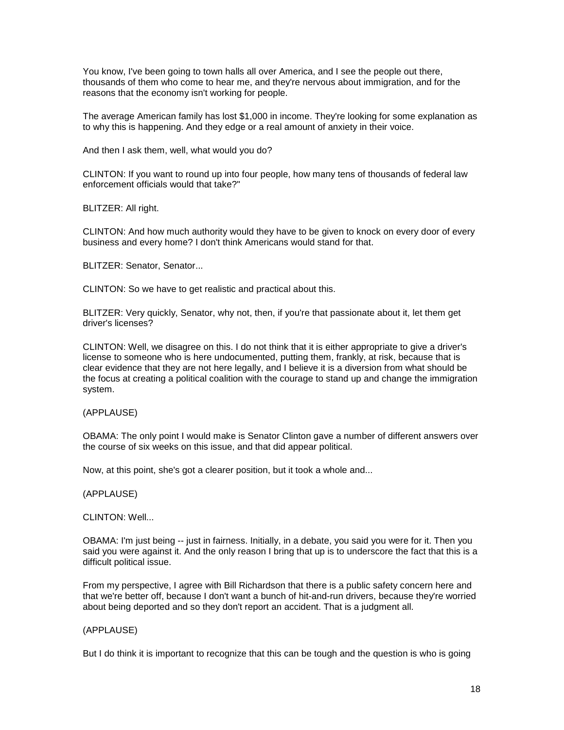You know, I've been going to town halls all over America, and I see the people out there, thousands of them who come to hear me, and they're nervous about immigration, and for the reasons that the economy isn't working for people.

The average American family has lost \$1,000 in income. They're looking for some explanation as to why this is happening. And they edge or a real amount of anxiety in their voice.

And then I ask them, well, what would you do?

CLINTON: If you want to round up into four people, how many tens of thousands of federal law enforcement officials would that take?"

BLITZER: All right.

CLINTON: And how much authority would they have to be given to knock on every door of every business and every home? I don't think Americans would stand for that.

BLITZER: Senator, Senator...

CLINTON: So we have to get realistic and practical about this.

BLITZER: Very quickly, Senator, why not, then, if you're that passionate about it, let them get driver's licenses?

CLINTON: Well, we disagree on this. I do not think that it is either appropriate to give a driver's license to someone who is here undocumented, putting them, frankly, at risk, because that is clear evidence that they are not here legally, and I believe it is a diversion from what should be the focus at creating a political coalition with the courage to stand up and change the immigration system.

(APPLAUSE)

OBAMA: The only point I would make is Senator Clinton gave a number of different answers over the course of six weeks on this issue, and that did appear political.

Now, at this point, she's got a clearer position, but it took a whole and...

(APPLAUSE)

CLINTON: Well...

OBAMA: I'm just being -- just in fairness. Initially, in a debate, you said you were for it. Then you said you were against it. And the only reason I bring that up is to underscore the fact that this is a difficult political issue.

From my perspective, I agree with Bill Richardson that there is a public safety concern here and that we're better off, because I don't want a bunch of hit-and-run drivers, because they're worried about being deported and so they don't report an accident. That is a judgment all.

(APPLAUSE)

But I do think it is important to recognize that this can be tough and the question is who is going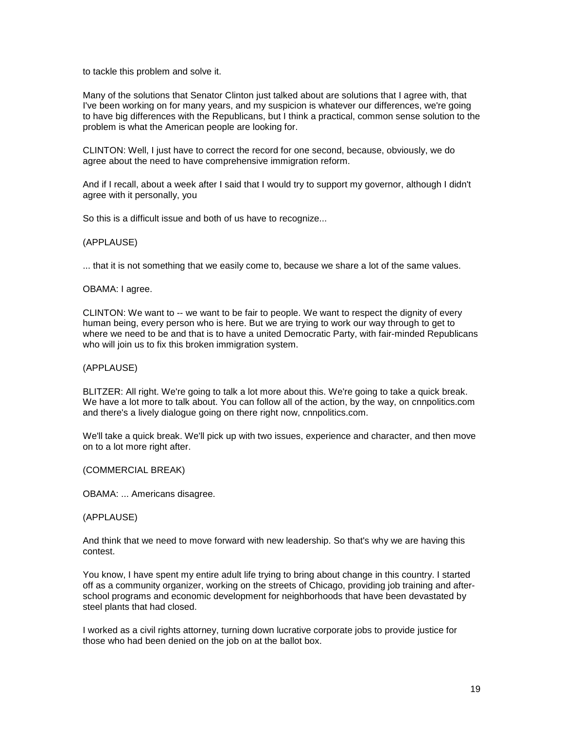to tackle this problem and solve it.

Many of the solutions that Senator Clinton just talked about are solutions that I agree with, that I've been working on for many years, and my suspicion is whatever our differences, we're going to have big differences with the Republicans, but I think a practical, common sense solution to the problem is what the American people are looking for.

CLINTON: Well, I just have to correct the record for one second, because, obviously, we do agree about the need to have comprehensive immigration reform.

And if I recall, about a week after I said that I would try to support my governor, although I didn't agree with it personally, you

So this is a difficult issue and both of us have to recognize...

#### (APPLAUSE)

... that it is not something that we easily come to, because we share a lot of the same values.

#### OBAMA: I agree.

CLINTON: We want to -- we want to be fair to people. We want to respect the dignity of every human being, every person who is here. But we are trying to work our way through to get to where we need to be and that is to have a united Democratic Party, with fair-minded Republicans who will join us to fix this broken immigration system.

#### (APPLAUSE)

BLITZER: All right. We're going to talk a lot more about this. We're going to take a quick break. We have a lot more to talk about. You can follow all of the action, by the way, on cnnpolitics.com and there's a lively dialogue going on there right now, cnnpolitics.com.

We'll take a quick break. We'll pick up with two issues, experience and character, and then move on to a lot more right after.

#### (COMMERCIAL BREAK)

OBAMA: ... Americans disagree.

## (APPLAUSE)

And think that we need to move forward with new leadership. So that's why we are having this contest.

You know, I have spent my entire adult life trying to bring about change in this country. I started off as a community organizer, working on the streets of Chicago, providing job training and afterschool programs and economic development for neighborhoods that have been devastated by steel plants that had closed.

I worked as a civil rights attorney, turning down lucrative corporate jobs to provide justice for those who had been denied on the job on at the ballot box.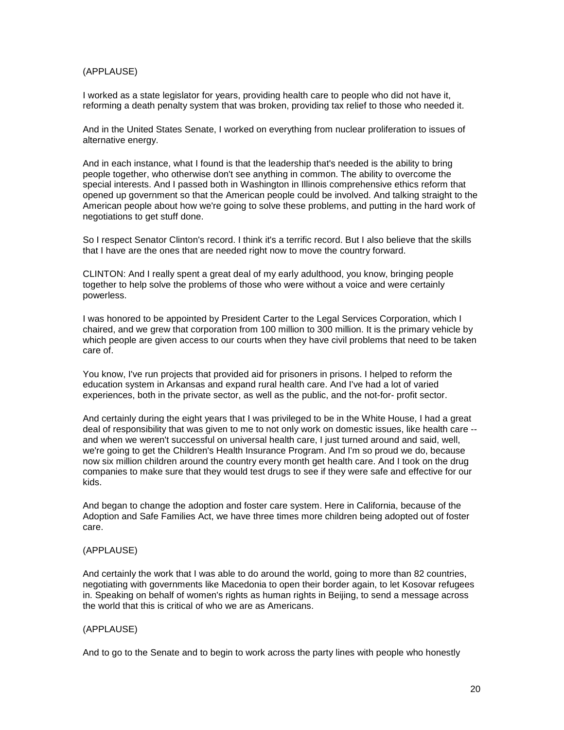## (APPLAUSE)

I worked as a state legislator for years, providing health care to people who did not have it, reforming a death penalty system that was broken, providing tax relief to those who needed it.

And in the United States Senate, I worked on everything from nuclear proliferation to issues of alternative energy.

And in each instance, what I found is that the leadership that's needed is the ability to bring people together, who otherwise don't see anything in common. The ability to overcome the special interests. And I passed both in Washington in Illinois comprehensive ethics reform that opened up government so that the American people could be involved. And talking straight to the American people about how we're going to solve these problems, and putting in the hard work of negotiations to get stuff done.

So I respect Senator Clinton's record. I think it's a terrific record. But I also believe that the skills that I have are the ones that are needed right now to move the country forward.

CLINTON: And I really spent a great deal of my early adulthood, you know, bringing people together to help solve the problems of those who were without a voice and were certainly powerless.

I was honored to be appointed by President Carter to the Legal Services Corporation, which I chaired, and we grew that corporation from 100 million to 300 million. It is the primary vehicle by which people are given access to our courts when they have civil problems that need to be taken care of.

You know, I've run projects that provided aid for prisoners in prisons. I helped to reform the education system in Arkansas and expand rural health care. And I've had a lot of varied experiences, both in the private sector, as well as the public, and the not-for- profit sector.

And certainly during the eight years that I was privileged to be in the White House, I had a great deal of responsibility that was given to me to not only work on domestic issues, like health care - and when we weren't successful on universal health care, I just turned around and said, well, we're going to get the Children's Health Insurance Program. And I'm so proud we do, because now six million children around the country every month get health care. And I took on the drug companies to make sure that they would test drugs to see if they were safe and effective for our kids.

And began to change the adoption and foster care system. Here in California, because of the Adoption and Safe Families Act, we have three times more children being adopted out of foster care.

## (APPLAUSE)

And certainly the work that I was able to do around the world, going to more than 82 countries, negotiating with governments like Macedonia to open their border again, to let Kosovar refugees in. Speaking on behalf of women's rights as human rights in Beijing, to send a message across the world that this is critical of who we are as Americans.

## (APPLAUSE)

And to go to the Senate and to begin to work across the party lines with people who honestly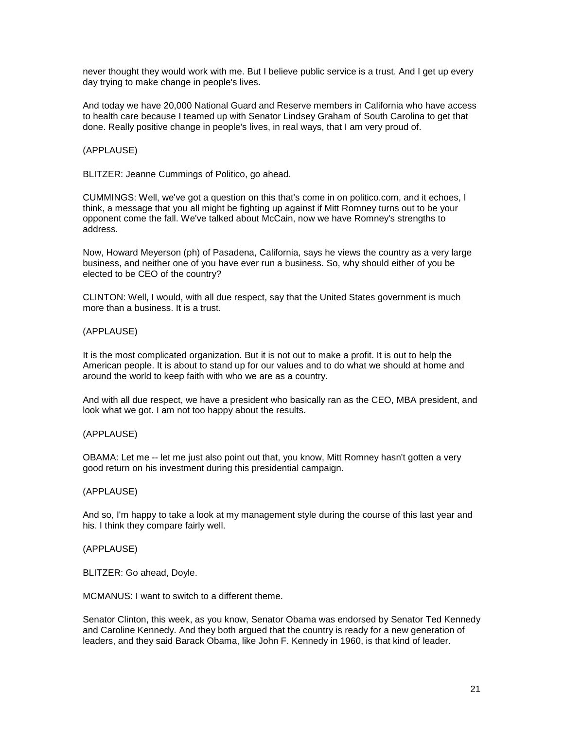never thought they would work with me. But I believe public service is a trust. And I get up every day trying to make change in people's lives.

And today we have 20,000 National Guard and Reserve members in California who have access to health care because I teamed up with Senator Lindsey Graham of South Carolina to get that done. Really positive change in people's lives, in real ways, that I am very proud of.

(APPLAUSE)

BLITZER: Jeanne Cummings of Politico, go ahead.

CUMMINGS: Well, we've got a question on this that's come in on politico.com, and it echoes, I think, a message that you all might be fighting up against if Mitt Romney turns out to be your opponent come the fall. We've talked about McCain, now we have Romney's strengths to address.

Now, Howard Meyerson (ph) of Pasadena, California, says he views the country as a very large business, and neither one of you have ever run a business. So, why should either of you be elected to be CEO of the country?

CLINTON: Well, I would, with all due respect, say that the United States government is much more than a business. It is a trust.

(APPLAUSE)

It is the most complicated organization. But it is not out to make a profit. It is out to help the American people. It is about to stand up for our values and to do what we should at home and around the world to keep faith with who we are as a country.

And with all due respect, we have a president who basically ran as the CEO, MBA president, and look what we got. I am not too happy about the results.

## (APPLAUSE)

OBAMA: Let me -- let me just also point out that, you know, Mitt Romney hasn't gotten a very good return on his investment during this presidential campaign.

## (APPLAUSE)

And so, I'm happy to take a look at my management style during the course of this last year and his. I think they compare fairly well.

## (APPLAUSE)

BLITZER: Go ahead, Doyle.

MCMANUS: I want to switch to a different theme.

Senator Clinton, this week, as you know, Senator Obama was endorsed by Senator Ted Kennedy and Caroline Kennedy. And they both argued that the country is ready for a new generation of leaders, and they said Barack Obama, like John F. Kennedy in 1960, is that kind of leader.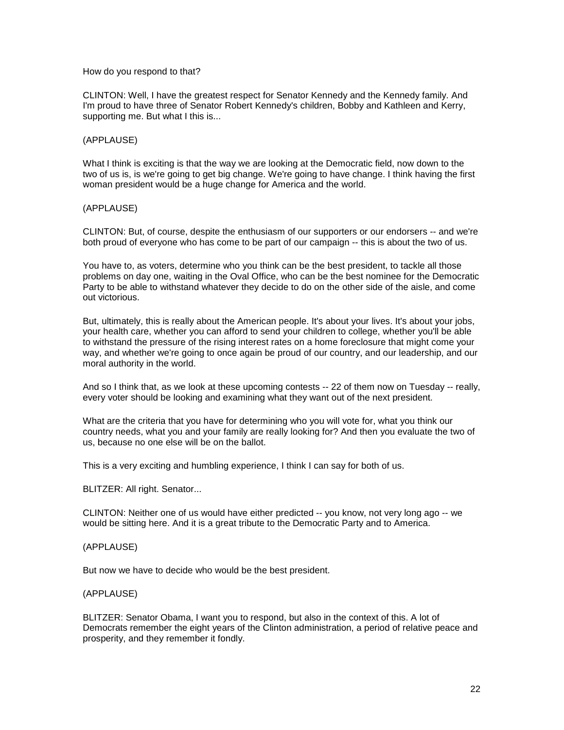#### How do you respond to that?

CLINTON: Well, I have the greatest respect for Senator Kennedy and the Kennedy family. And I'm proud to have three of Senator Robert Kennedy's children, Bobby and Kathleen and Kerry, supporting me. But what I this is...

## (APPLAUSE)

What I think is exciting is that the way we are looking at the Democratic field, now down to the two of us is, is we're going to get big change. We're going to have change. I think having the first woman president would be a huge change for America and the world.

# (APPLAUSE)

CLINTON: But, of course, despite the enthusiasm of our supporters or our endorsers -- and we're both proud of everyone who has come to be part of our campaign -- this is about the two of us.

You have to, as voters, determine who you think can be the best president, to tackle all those problems on day one, waiting in the Oval Office, who can be the best nominee for the Democratic Party to be able to withstand whatever they decide to do on the other side of the aisle, and come out victorious.

But, ultimately, this is really about the American people. It's about your lives. It's about your jobs, your health care, whether you can afford to send your children to college, whether you'll be able to withstand the pressure of the rising interest rates on a home foreclosure that might come your way, and whether we're going to once again be proud of our country, and our leadership, and our moral authority in the world.

And so I think that, as we look at these upcoming contests -- 22 of them now on Tuesday -- really, every voter should be looking and examining what they want out of the next president.

What are the criteria that you have for determining who you will vote for, what you think our country needs, what you and your family are really looking for? And then you evaluate the two of us, because no one else will be on the ballot.

This is a very exciting and humbling experience, I think I can say for both of us.

BLITZER: All right. Senator...

CLINTON: Neither one of us would have either predicted -- you know, not very long ago -- we would be sitting here. And it is a great tribute to the Democratic Party and to America.

## (APPLAUSE)

But now we have to decide who would be the best president.

## (APPLAUSE)

BLITZER: Senator Obama, I want you to respond, but also in the context of this. A lot of Democrats remember the eight years of the Clinton administration, a period of relative peace and prosperity, and they remember it fondly.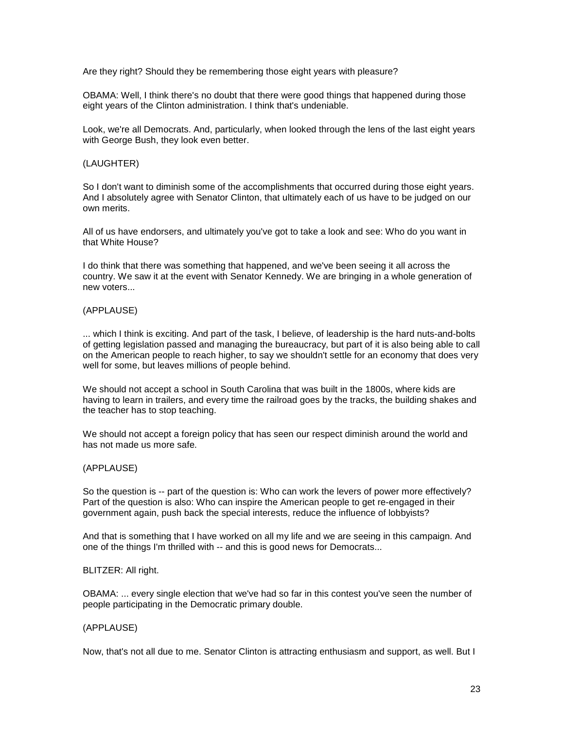Are they right? Should they be remembering those eight years with pleasure?

OBAMA: Well, I think there's no doubt that there were good things that happened during those eight years of the Clinton administration. I think that's undeniable.

Look, we're all Democrats. And, particularly, when looked through the lens of the last eight years with George Bush, they look even better.

# (LAUGHTER)

So I don't want to diminish some of the accomplishments that occurred during those eight years. And I absolutely agree with Senator Clinton, that ultimately each of us have to be judged on our own merits.

All of us have endorsers, and ultimately you've got to take a look and see: Who do you want in that White House?

I do think that there was something that happened, and we've been seeing it all across the country. We saw it at the event with Senator Kennedy. We are bringing in a whole generation of new voters...

## (APPLAUSE)

... which I think is exciting. And part of the task, I believe, of leadership is the hard nuts-and-bolts of getting legislation passed and managing the bureaucracy, but part of it is also being able to call on the American people to reach higher, to say we shouldn't settle for an economy that does very well for some, but leaves millions of people behind.

We should not accept a school in South Carolina that was built in the 1800s, where kids are having to learn in trailers, and every time the railroad goes by the tracks, the building shakes and the teacher has to stop teaching.

We should not accept a foreign policy that has seen our respect diminish around the world and has not made us more safe.

## (APPLAUSE)

So the question is -- part of the question is: Who can work the levers of power more effectively? Part of the question is also: Who can inspire the American people to get re-engaged in their government again, push back the special interests, reduce the influence of lobbyists?

And that is something that I have worked on all my life and we are seeing in this campaign. And one of the things I'm thrilled with -- and this is good news for Democrats...

#### BLITZER: All right.

OBAMA: ... every single election that we've had so far in this contest you've seen the number of people participating in the Democratic primary double.

## (APPLAUSE)

Now, that's not all due to me. Senator Clinton is attracting enthusiasm and support, as well. But I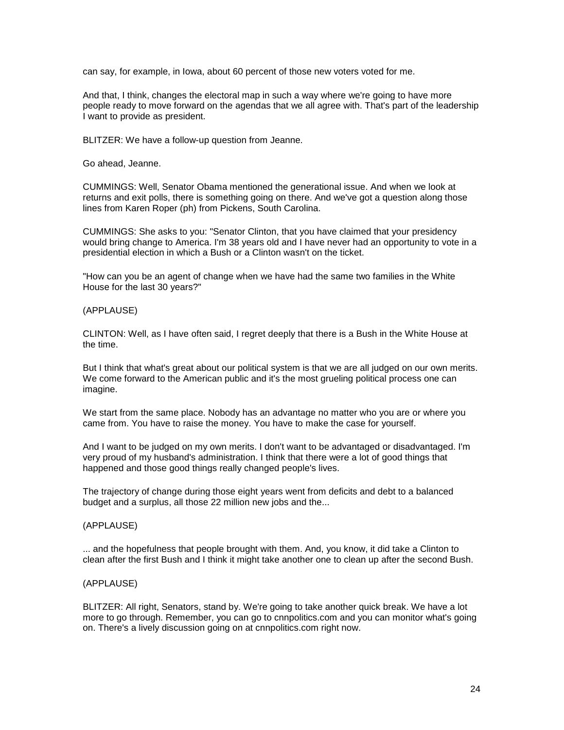can say, for example, in Iowa, about 60 percent of those new voters voted for me.

And that, I think, changes the electoral map in such a way where we're going to have more people ready to move forward on the agendas that we all agree with. That's part of the leadership I want to provide as president.

BLITZER: We have a follow-up question from Jeanne.

Go ahead, Jeanne.

CUMMINGS: Well, Senator Obama mentioned the generational issue. And when we look at returns and exit polls, there is something going on there. And we've got a question along those lines from Karen Roper (ph) from Pickens, South Carolina.

CUMMINGS: She asks to you: "Senator Clinton, that you have claimed that your presidency would bring change to America. I'm 38 years old and I have never had an opportunity to vote in a presidential election in which a Bush or a Clinton wasn't on the ticket.

"How can you be an agent of change when we have had the same two families in the White House for the last 30 years?"

(APPLAUSE)

CLINTON: Well, as I have often said, I regret deeply that there is a Bush in the White House at the time.

But I think that what's great about our political system is that we are all judged on our own merits. We come forward to the American public and it's the most grueling political process one can imagine.

We start from the same place. Nobody has an advantage no matter who you are or where you came from. You have to raise the money. You have to make the case for yourself.

And I want to be judged on my own merits. I don't want to be advantaged or disadvantaged. I'm very proud of my husband's administration. I think that there were a lot of good things that happened and those good things really changed people's lives.

The trajectory of change during those eight years went from deficits and debt to a balanced budget and a surplus, all those 22 million new jobs and the...

(APPLAUSE)

... and the hopefulness that people brought with them. And, you know, it did take a Clinton to clean after the first Bush and I think it might take another one to clean up after the second Bush.

## (APPLAUSE)

BLITZER: All right, Senators, stand by. We're going to take another quick break. We have a lot more to go through. Remember, you can go to cnnpolitics.com and you can monitor what's going on. There's a lively discussion going on at cnnpolitics.com right now.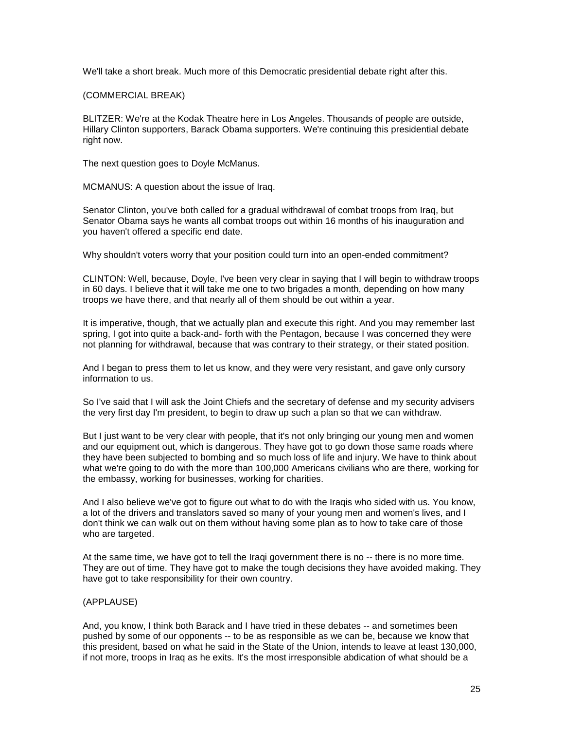We'll take a short break. Much more of this Democratic presidential debate right after this.

(COMMERCIAL BREAK)

BLITZER: We're at the Kodak Theatre here in Los Angeles. Thousands of people are outside, Hillary Clinton supporters, Barack Obama supporters. We're continuing this presidential debate right now.

The next question goes to Doyle McManus.

MCMANUS: A question about the issue of Iraq.

Senator Clinton, you've both called for a gradual withdrawal of combat troops from Iraq, but Senator Obama says he wants all combat troops out within 16 months of his inauguration and you haven't offered a specific end date.

Why shouldn't voters worry that your position could turn into an open-ended commitment?

CLINTON: Well, because, Doyle, I've been very clear in saying that I will begin to withdraw troops in 60 days. I believe that it will take me one to two brigades a month, depending on how many troops we have there, and that nearly all of them should be out within a year.

It is imperative, though, that we actually plan and execute this right. And you may remember last spring, I got into quite a back-and- forth with the Pentagon, because I was concerned they were not planning for withdrawal, because that was contrary to their strategy, or their stated position.

And I began to press them to let us know, and they were very resistant, and gave only cursory information to us.

So I've said that I will ask the Joint Chiefs and the secretary of defense and my security advisers the very first day I'm president, to begin to draw up such a plan so that we can withdraw.

But I just want to be very clear with people, that it's not only bringing our young men and women and our equipment out, which is dangerous. They have got to go down those same roads where they have been subjected to bombing and so much loss of life and injury. We have to think about what we're going to do with the more than 100,000 Americans civilians who are there, working for the embassy, working for businesses, working for charities.

And I also believe we've got to figure out what to do with the Iraqis who sided with us. You know, a lot of the drivers and translators saved so many of your young men and women's lives, and I don't think we can walk out on them without having some plan as to how to take care of those who are targeted.

At the same time, we have got to tell the Iraqi government there is no -- there is no more time. They are out of time. They have got to make the tough decisions they have avoided making. They have got to take responsibility for their own country.

# (APPLAUSE)

And, you know, I think both Barack and I have tried in these debates -- and sometimes been pushed by some of our opponents -- to be as responsible as we can be, because we know that this president, based on what he said in the State of the Union, intends to leave at least 130,000, if not more, troops in Iraq as he exits. It's the most irresponsible abdication of what should be a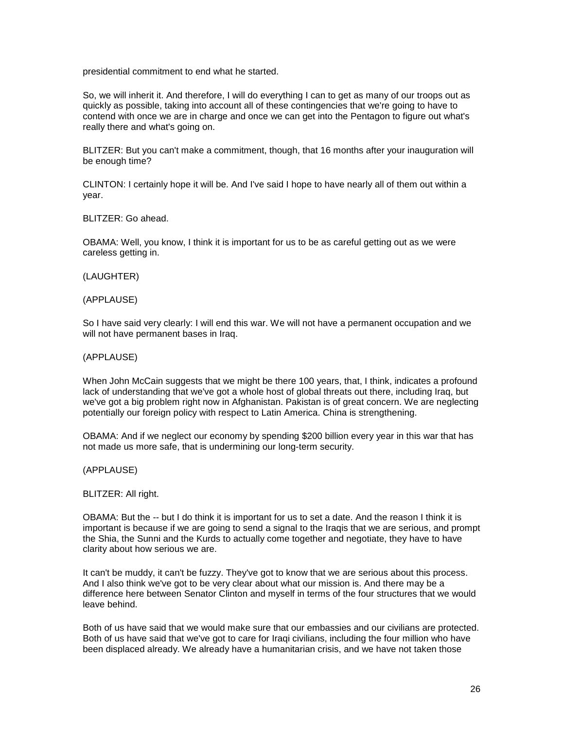presidential commitment to end what he started.

So, we will inherit it. And therefore, I will do everything I can to get as many of our troops out as quickly as possible, taking into account all of these contingencies that we're going to have to contend with once we are in charge and once we can get into the Pentagon to figure out what's really there and what's going on.

BLITZER: But you can't make a commitment, though, that 16 months after your inauguration will be enough time?

CLINTON: I certainly hope it will be. And I've said I hope to have nearly all of them out within a year.

BLITZER: Go ahead.

OBAMA: Well, you know, I think it is important for us to be as careful getting out as we were careless getting in.

(LAUGHTER)

(APPLAUSE)

So I have said very clearly: I will end this war. We will not have a permanent occupation and we will not have permanent bases in Iraq.

(APPLAUSE)

When John McCain suggests that we might be there 100 years, that, I think, indicates a profound lack of understanding that we've got a whole host of global threats out there, including Iraq, but we've got a big problem right now in Afghanistan. Pakistan is of great concern. We are neglecting potentially our foreign policy with respect to Latin America. China is strengthening.

OBAMA: And if we neglect our economy by spending \$200 billion every year in this war that has not made us more safe, that is undermining our long-term security.

(APPLAUSE)

BLITZER: All right.

OBAMA: But the -- but I do think it is important for us to set a date. And the reason I think it is important is because if we are going to send a signal to the Iraqis that we are serious, and prompt the Shia, the Sunni and the Kurds to actually come together and negotiate, they have to have clarity about how serious we are.

It can't be muddy, it can't be fuzzy. They've got to know that we are serious about this process. And I also think we've got to be very clear about what our mission is. And there may be a difference here between Senator Clinton and myself in terms of the four structures that we would leave behind.

Both of us have said that we would make sure that our embassies and our civilians are protected. Both of us have said that we've got to care for Iraqi civilians, including the four million who have been displaced already. We already have a humanitarian crisis, and we have not taken those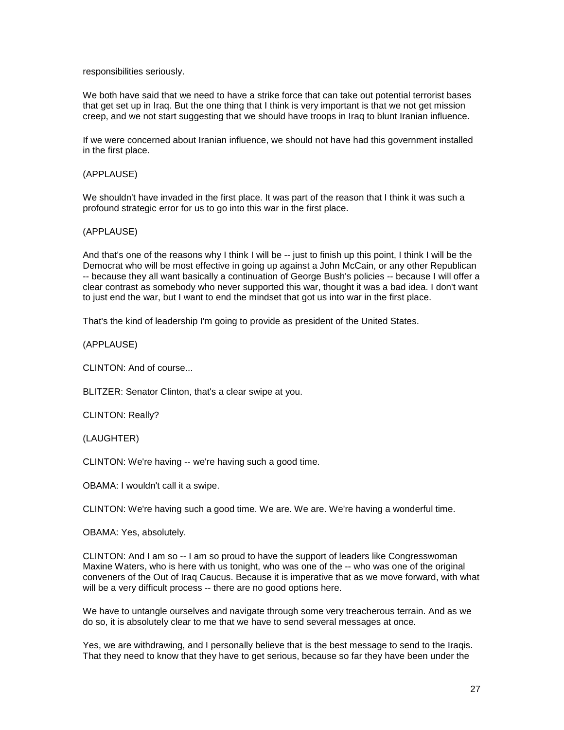responsibilities seriously.

We both have said that we need to have a strike force that can take out potential terrorist bases that get set up in Iraq. But the one thing that I think is very important is that we not get mission creep, and we not start suggesting that we should have troops in Iraq to blunt Iranian influence.

If we were concerned about Iranian influence, we should not have had this government installed in the first place.

(APPLAUSE)

We shouldn't have invaded in the first place. It was part of the reason that I think it was such a profound strategic error for us to go into this war in the first place.

(APPLAUSE)

And that's one of the reasons why I think I will be -- just to finish up this point, I think I will be the Democrat who will be most effective in going up against a John McCain, or any other Republican -- because they all want basically a continuation of George Bush's policies -- because I will offer a clear contrast as somebody who never supported this war, thought it was a bad idea. I don't want to just end the war, but I want to end the mindset that got us into war in the first place.

That's the kind of leadership I'm going to provide as president of the United States.

(APPLAUSE)

CLINTON: And of course...

BLITZER: Senator Clinton, that's a clear swipe at you.

CLINTON: Really?

(LAUGHTER)

CLINTON: We're having -- we're having such a good time.

OBAMA: I wouldn't call it a swipe.

CLINTON: We're having such a good time. We are. We are. We're having a wonderful time.

OBAMA: Yes, absolutely.

CLINTON: And I am so -- I am so proud to have the support of leaders like Congresswoman Maxine Waters, who is here with us tonight, who was one of the -- who was one of the original conveners of the Out of Iraq Caucus. Because it is imperative that as we move forward, with what will be a very difficult process -- there are no good options here.

We have to untangle ourselves and navigate through some very treacherous terrain. And as we do so, it is absolutely clear to me that we have to send several messages at once.

Yes, we are withdrawing, and I personally believe that is the best message to send to the Iraqis. That they need to know that they have to get serious, because so far they have been under the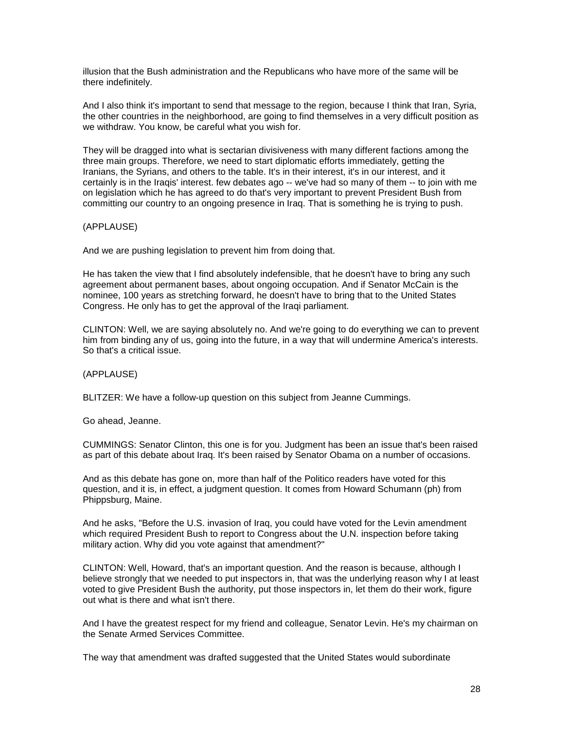illusion that the Bush administration and the Republicans who have more of the same will be there indefinitely.

And I also think it's important to send that message to the region, because I think that Iran, Syria, the other countries in the neighborhood, are going to find themselves in a very difficult position as we withdraw. You know, be careful what you wish for.

They will be dragged into what is sectarian divisiveness with many different factions among the three main groups. Therefore, we need to start diplomatic efforts immediately, getting the Iranians, the Syrians, and others to the table. It's in their interest, it's in our interest, and it certainly is in the Iraqis' interest. few debates ago -- we've had so many of them -- to join with me on legislation which he has agreed to do that's very important to prevent President Bush from committing our country to an ongoing presence in Iraq. That is something he is trying to push.

(APPLAUSE)

And we are pushing legislation to prevent him from doing that.

He has taken the view that I find absolutely indefensible, that he doesn't have to bring any such agreement about permanent bases, about ongoing occupation. And if Senator McCain is the nominee, 100 years as stretching forward, he doesn't have to bring that to the United States Congress. He only has to get the approval of the Iraqi parliament.

CLINTON: Well, we are saying absolutely no. And we're going to do everything we can to prevent him from binding any of us, going into the future, in a way that will undermine America's interests. So that's a critical issue.

(APPLAUSE)

BLITZER: We have a follow-up question on this subject from Jeanne Cummings.

Go ahead, Jeanne.

CUMMINGS: Senator Clinton, this one is for you. Judgment has been an issue that's been raised as part of this debate about Iraq. It's been raised by Senator Obama on a number of occasions.

And as this debate has gone on, more than half of the Politico readers have voted for this question, and it is, in effect, a judgment question. It comes from Howard Schumann (ph) from Phippsburg, Maine.

And he asks, "Before the U.S. invasion of Iraq, you could have voted for the Levin amendment which required President Bush to report to Congress about the U.N. inspection before taking military action. Why did you vote against that amendment?"

CLINTON: Well, Howard, that's an important question. And the reason is because, although I believe strongly that we needed to put inspectors in, that was the underlying reason why I at least voted to give President Bush the authority, put those inspectors in, let them do their work, figure out what is there and what isn't there.

And I have the greatest respect for my friend and colleague, Senator Levin. He's my chairman on the Senate Armed Services Committee.

The way that amendment was drafted suggested that the United States would subordinate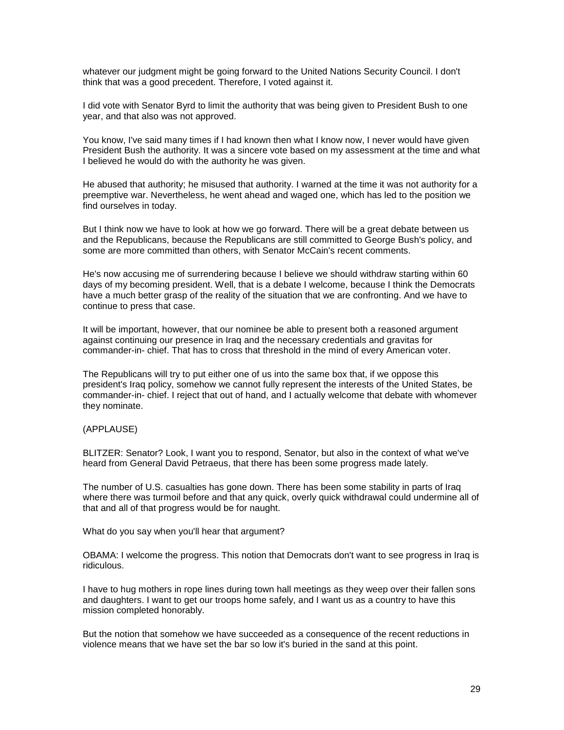whatever our judgment might be going forward to the United Nations Security Council. I don't think that was a good precedent. Therefore, I voted against it.

I did vote with Senator Byrd to limit the authority that was being given to President Bush to one year, and that also was not approved.

You know, I've said many times if I had known then what I know now, I never would have given President Bush the authority. It was a sincere vote based on my assessment at the time and what I believed he would do with the authority he was given.

He abused that authority; he misused that authority. I warned at the time it was not authority for a preemptive war. Nevertheless, he went ahead and waged one, which has led to the position we find ourselves in today.

But I think now we have to look at how we go forward. There will be a great debate between us and the Republicans, because the Republicans are still committed to George Bush's policy, and some are more committed than others, with Senator McCain's recent comments.

He's now accusing me of surrendering because I believe we should withdraw starting within 60 days of my becoming president. Well, that is a debate I welcome, because I think the Democrats have a much better grasp of the reality of the situation that we are confronting. And we have to continue to press that case.

It will be important, however, that our nominee be able to present both a reasoned argument against continuing our presence in Iraq and the necessary credentials and gravitas for commander-in- chief. That has to cross that threshold in the mind of every American voter.

The Republicans will try to put either one of us into the same box that, if we oppose this president's Iraq policy, somehow we cannot fully represent the interests of the United States, be commander-in- chief. I reject that out of hand, and I actually welcome that debate with whomever they nominate.

(APPLAUSE)

BLITZER: Senator? Look, I want you to respond, Senator, but also in the context of what we've heard from General David Petraeus, that there has been some progress made lately.

The number of U.S. casualties has gone down. There has been some stability in parts of Iraq where there was turmoil before and that any quick, overly quick withdrawal could undermine all of that and all of that progress would be for naught.

What do you say when you'll hear that argument?

OBAMA: I welcome the progress. This notion that Democrats don't want to see progress in Iraq is ridiculous.

I have to hug mothers in rope lines during town hall meetings as they weep over their fallen sons and daughters. I want to get our troops home safely, and I want us as a country to have this mission completed honorably.

But the notion that somehow we have succeeded as a consequence of the recent reductions in violence means that we have set the bar so low it's buried in the sand at this point.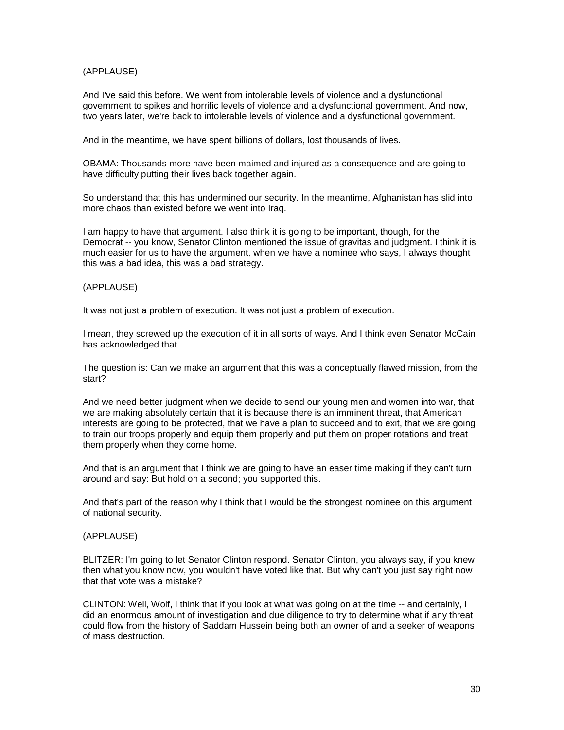# (APPLAUSE)

And I've said this before. We went from intolerable levels of violence and a dysfunctional government to spikes and horrific levels of violence and a dysfunctional government. And now, two years later, we're back to intolerable levels of violence and a dysfunctional government.

And in the meantime, we have spent billions of dollars, lost thousands of lives.

OBAMA: Thousands more have been maimed and injured as a consequence and are going to have difficulty putting their lives back together again.

So understand that this has undermined our security. In the meantime, Afghanistan has slid into more chaos than existed before we went into Iraq.

I am happy to have that argument. I also think it is going to be important, though, for the Democrat -- you know, Senator Clinton mentioned the issue of gravitas and judgment. I think it is much easier for us to have the argument, when we have a nominee who says, I always thought this was a bad idea, this was a bad strategy.

#### (APPLAUSE)

It was not just a problem of execution. It was not just a problem of execution.

I mean, they screwed up the execution of it in all sorts of ways. And I think even Senator McCain has acknowledged that.

The question is: Can we make an argument that this was a conceptually flawed mission, from the start?

And we need better judgment when we decide to send our young men and women into war, that we are making absolutely certain that it is because there is an imminent threat, that American interests are going to be protected, that we have a plan to succeed and to exit, that we are going to train our troops properly and equip them properly and put them on proper rotations and treat them properly when they come home.

And that is an argument that I think we are going to have an easer time making if they can't turn around and say: But hold on a second; you supported this.

And that's part of the reason why I think that I would be the strongest nominee on this argument of national security.

#### (APPLAUSE)

BLITZER: I'm going to let Senator Clinton respond. Senator Clinton, you always say, if you knew then what you know now, you wouldn't have voted like that. But why can't you just say right now that that vote was a mistake?

CLINTON: Well, Wolf, I think that if you look at what was going on at the time -- and certainly, I did an enormous amount of investigation and due diligence to try to determine what if any threat could flow from the history of Saddam Hussein being both an owner of and a seeker of weapons of mass destruction.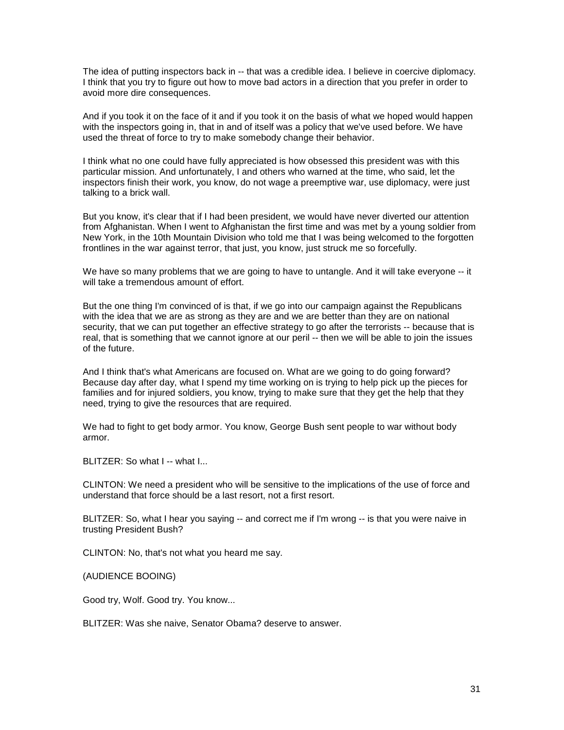The idea of putting inspectors back in -- that was a credible idea. I believe in coercive diplomacy. I think that you try to figure out how to move bad actors in a direction that you prefer in order to avoid more dire consequences.

And if you took it on the face of it and if you took it on the basis of what we hoped would happen with the inspectors going in, that in and of itself was a policy that we've used before. We have used the threat of force to try to make somebody change their behavior.

I think what no one could have fully appreciated is how obsessed this president was with this particular mission. And unfortunately, I and others who warned at the time, who said, let the inspectors finish their work, you know, do not wage a preemptive war, use diplomacy, were just talking to a brick wall.

But you know, it's clear that if I had been president, we would have never diverted our attention from Afghanistan. When I went to Afghanistan the first time and was met by a young soldier from New York, in the 10th Mountain Division who told me that I was being welcomed to the forgotten frontlines in the war against terror, that just, you know, just struck me so forcefully.

We have so many problems that we are going to have to untangle. And it will take everyone -- it will take a tremendous amount of effort.

But the one thing I'm convinced of is that, if we go into our campaign against the Republicans with the idea that we are as strong as they are and we are better than they are on national security, that we can put together an effective strategy to go after the terrorists -- because that is real, that is something that we cannot ignore at our peril -- then we will be able to join the issues of the future.

And I think that's what Americans are focused on. What are we going to do going forward? Because day after day, what I spend my time working on is trying to help pick up the pieces for families and for injured soldiers, you know, trying to make sure that they get the help that they need, trying to give the resources that are required.

We had to fight to get body armor. You know, George Bush sent people to war without body armor.

BLITZER: So what I -- what I...

CLINTON: We need a president who will be sensitive to the implications of the use of force and understand that force should be a last resort, not a first resort.

BLITZER: So, what I hear you saying -- and correct me if I'm wrong -- is that you were naive in trusting President Bush?

CLINTON: No, that's not what you heard me say.

(AUDIENCE BOOING)

Good try, Wolf. Good try. You know...

BLITZER: Was she naive, Senator Obama? deserve to answer.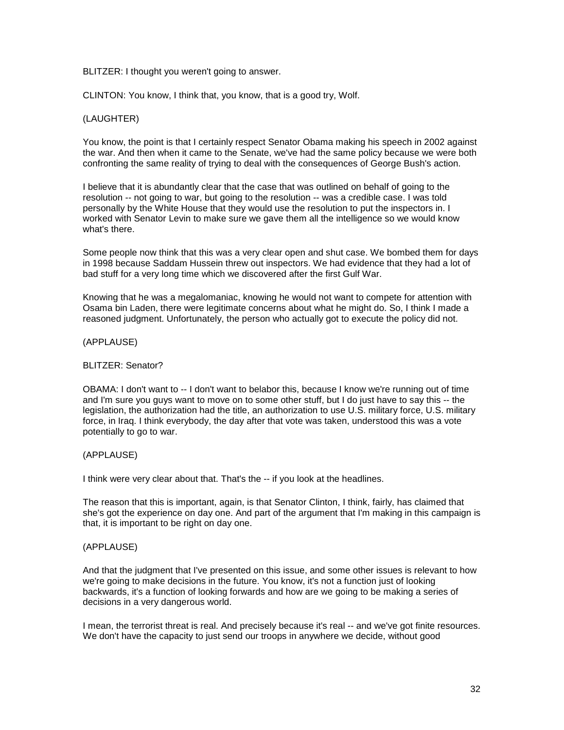## BLITZER: I thought you weren't going to answer.

CLINTON: You know, I think that, you know, that is a good try, Wolf.

# (LAUGHTER)

You know, the point is that I certainly respect Senator Obama making his speech in 2002 against the war. And then when it came to the Senate, we've had the same policy because we were both confronting the same reality of trying to deal with the consequences of George Bush's action.

I believe that it is abundantly clear that the case that was outlined on behalf of going to the resolution -- not going to war, but going to the resolution -- was a credible case. I was told personally by the White House that they would use the resolution to put the inspectors in. I worked with Senator Levin to make sure we gave them all the intelligence so we would know what's there.

Some people now think that this was a very clear open and shut case. We bombed them for days in 1998 because Saddam Hussein threw out inspectors. We had evidence that they had a lot of bad stuff for a very long time which we discovered after the first Gulf War.

Knowing that he was a megalomaniac, knowing he would not want to compete for attention with Osama bin Laden, there were legitimate concerns about what he might do. So, I think I made a reasoned judgment. Unfortunately, the person who actually got to execute the policy did not.

(APPLAUSE)

#### BLITZER: Senator?

OBAMA: I don't want to -- I don't want to belabor this, because I know we're running out of time and I'm sure you guys want to move on to some other stuff, but I do just have to say this -- the legislation, the authorization had the title, an authorization to use U.S. military force, U.S. military force, in Iraq. I think everybody, the day after that vote was taken, understood this was a vote potentially to go to war.

## (APPLAUSE)

I think were very clear about that. That's the -- if you look at the headlines.

The reason that this is important, again, is that Senator Clinton, I think, fairly, has claimed that she's got the experience on day one. And part of the argument that I'm making in this campaign is that, it is important to be right on day one.

## (APPLAUSE)

And that the judgment that I've presented on this issue, and some other issues is relevant to how we're going to make decisions in the future. You know, it's not a function just of looking backwards, it's a function of looking forwards and how are we going to be making a series of decisions in a very dangerous world.

I mean, the terrorist threat is real. And precisely because it's real -- and we've got finite resources. We don't have the capacity to just send our troops in anywhere we decide, without good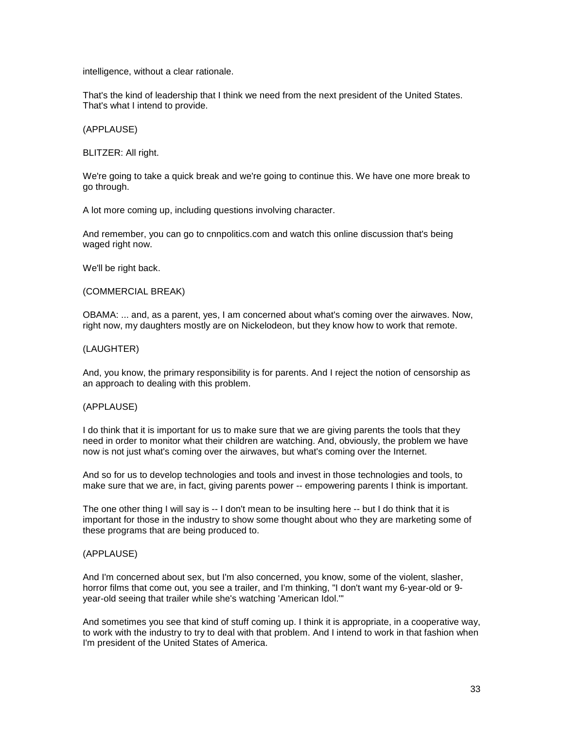intelligence, without a clear rationale.

That's the kind of leadership that I think we need from the next president of the United States. That's what I intend to provide.

(APPLAUSE)

BLITZER: All right.

We're going to take a quick break and we're going to continue this. We have one more break to go through.

A lot more coming up, including questions involving character.

And remember, you can go to cnnpolitics.com and watch this online discussion that's being waged right now.

We'll be right back.

#### (COMMERCIAL BREAK)

OBAMA: ... and, as a parent, yes, I am concerned about what's coming over the airwaves. Now, right now, my daughters mostly are on Nickelodeon, but they know how to work that remote.

#### (LAUGHTER)

And, you know, the primary responsibility is for parents. And I reject the notion of censorship as an approach to dealing with this problem.

## (APPLAUSE)

I do think that it is important for us to make sure that we are giving parents the tools that they need in order to monitor what their children are watching. And, obviously, the problem we have now is not just what's coming over the airwaves, but what's coming over the Internet.

And so for us to develop technologies and tools and invest in those technologies and tools, to make sure that we are, in fact, giving parents power -- empowering parents I think is important.

The one other thing I will say is -- I don't mean to be insulting here -- but I do think that it is important for those in the industry to show some thought about who they are marketing some of these programs that are being produced to.

## (APPLAUSE)

And I'm concerned about sex, but I'm also concerned, you know, some of the violent, slasher, horror films that come out, you see a trailer, and I'm thinking, "I don't want my 6-year-old or 9 year-old seeing that trailer while she's watching 'American Idol.'"

And sometimes you see that kind of stuff coming up. I think it is appropriate, in a cooperative way, to work with the industry to try to deal with that problem. And I intend to work in that fashion when I'm president of the United States of America.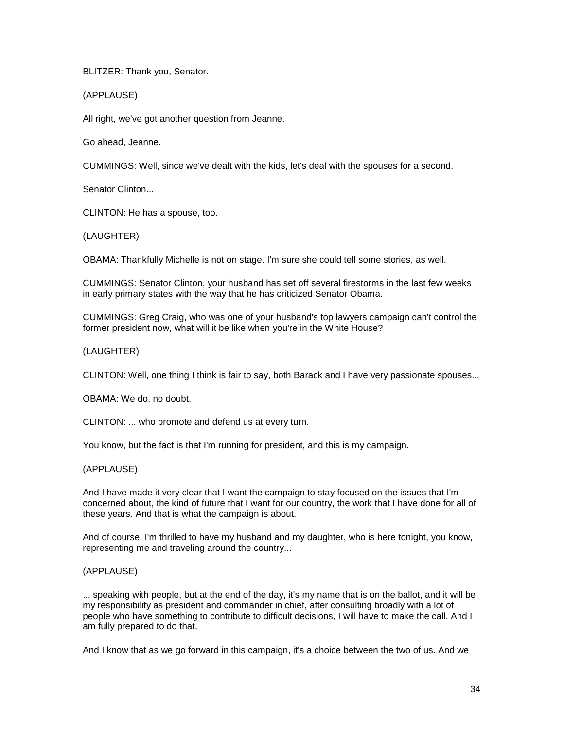BLITZER: Thank you, Senator.

(APPLAUSE)

All right, we've got another question from Jeanne.

Go ahead, Jeanne.

CUMMINGS: Well, since we've dealt with the kids, let's deal with the spouses for a second.

Senator Clinton...

CLINTON: He has a spouse, too.

(LAUGHTER)

OBAMA: Thankfully Michelle is not on stage. I'm sure she could tell some stories, as well.

CUMMINGS: Senator Clinton, your husband has set off several firestorms in the last few weeks in early primary states with the way that he has criticized Senator Obama.

CUMMINGS: Greg Craig, who was one of your husband's top lawyers campaign can't control the former president now, what will it be like when you're in the White House?

# (LAUGHTER)

CLINTON: Well, one thing I think is fair to say, both Barack and I have very passionate spouses...

OBAMA: We do, no doubt.

CLINTON: ... who promote and defend us at every turn.

You know, but the fact is that I'm running for president, and this is my campaign.

## (APPLAUSE)

And I have made it very clear that I want the campaign to stay focused on the issues that I'm concerned about, the kind of future that I want for our country, the work that I have done for all of these years. And that is what the campaign is about.

And of course, I'm thrilled to have my husband and my daughter, who is here tonight, you know, representing me and traveling around the country...

## (APPLAUSE)

... speaking with people, but at the end of the day, it's my name that is on the ballot, and it will be my responsibility as president and commander in chief, after consulting broadly with a lot of people who have something to contribute to difficult decisions, I will have to make the call. And I am fully prepared to do that.

And I know that as we go forward in this campaign, it's a choice between the two of us. And we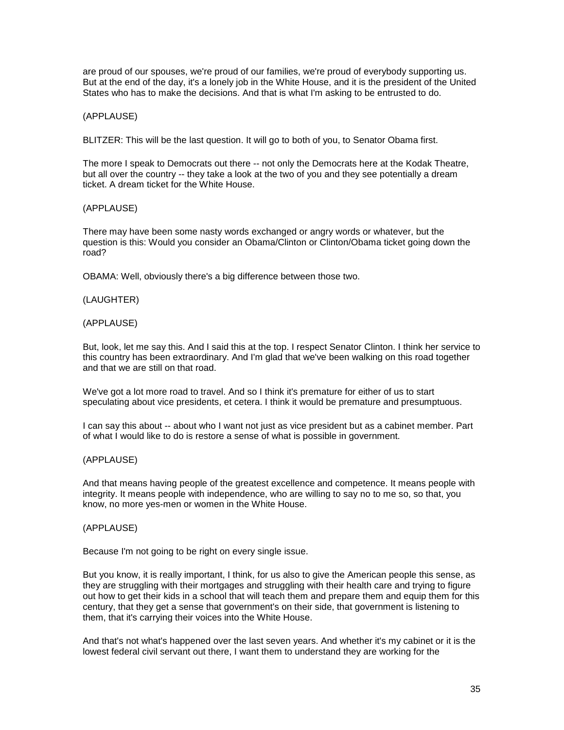are proud of our spouses, we're proud of our families, we're proud of everybody supporting us. But at the end of the day, it's a lonely job in the White House, and it is the president of the United States who has to make the decisions. And that is what I'm asking to be entrusted to do.

## (APPLAUSE)

BLITZER: This will be the last question. It will go to both of you, to Senator Obama first.

The more I speak to Democrats out there -- not only the Democrats here at the Kodak Theatre, but all over the country -- they take a look at the two of you and they see potentially a dream ticket. A dream ticket for the White House.

# (APPLAUSE)

There may have been some nasty words exchanged or angry words or whatever, but the question is this: Would you consider an Obama/Clinton or Clinton/Obama ticket going down the road?

OBAMA: Well, obviously there's a big difference between those two.

# (LAUGHTER)

# (APPLAUSE)

But, look, let me say this. And I said this at the top. I respect Senator Clinton. I think her service to this country has been extraordinary. And I'm glad that we've been walking on this road together and that we are still on that road.

We've got a lot more road to travel. And so I think it's premature for either of us to start speculating about vice presidents, et cetera. I think it would be premature and presumptuous.

I can say this about -- about who I want not just as vice president but as a cabinet member. Part of what I would like to do is restore a sense of what is possible in government.

## (APPLAUSE)

And that means having people of the greatest excellence and competence. It means people with integrity. It means people with independence, who are willing to say no to me so, so that, you know, no more yes-men or women in the White House.

## (APPLAUSE)

Because I'm not going to be right on every single issue.

But you know, it is really important, I think, for us also to give the American people this sense, as they are struggling with their mortgages and struggling with their health care and trying to figure out how to get their kids in a school that will teach them and prepare them and equip them for this century, that they get a sense that government's on their side, that government is listening to them, that it's carrying their voices into the White House.

And that's not what's happened over the last seven years. And whether it's my cabinet or it is the lowest federal civil servant out there, I want them to understand they are working for the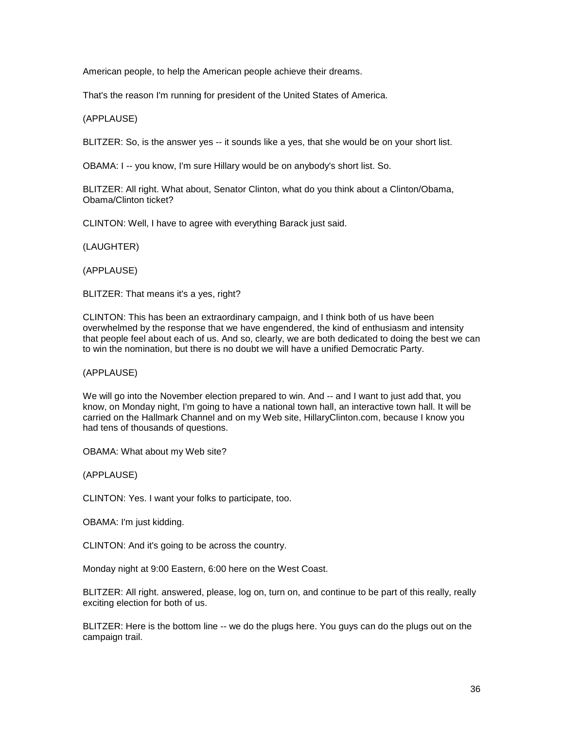American people, to help the American people achieve their dreams.

That's the reason I'm running for president of the United States of America.

(APPLAUSE)

BLITZER: So, is the answer yes -- it sounds like a yes, that she would be on your short list.

OBAMA: I -- you know, I'm sure Hillary would be on anybody's short list. So.

BLITZER: All right. What about, Senator Clinton, what do you think about a Clinton/Obama, Obama/Clinton ticket?

CLINTON: Well, I have to agree with everything Barack just said.

(LAUGHTER)

(APPLAUSE)

BLITZER: That means it's a yes, right?

CLINTON: This has been an extraordinary campaign, and I think both of us have been overwhelmed by the response that we have engendered, the kind of enthusiasm and intensity that people feel about each of us. And so, clearly, we are both dedicated to doing the best we can to win the nomination, but there is no doubt we will have a unified Democratic Party.

(APPLAUSE)

We will go into the November election prepared to win. And -- and I want to just add that, you know, on Monday night, I'm going to have a national town hall, an interactive town hall. It will be carried on the Hallmark Channel and on my Web site, HillaryClinton.com, because I know you had tens of thousands of questions.

OBAMA: What about my Web site?

(APPLAUSE)

CLINTON: Yes. I want your folks to participate, too.

OBAMA: I'm just kidding.

CLINTON: And it's going to be across the country.

Monday night at 9:00 Eastern, 6:00 here on the West Coast.

BLITZER: All right. answered, please, log on, turn on, and continue to be part of this really, really exciting election for both of us.

BLITZER: Here is the bottom line -- we do the plugs here. You guys can do the plugs out on the campaign trail.